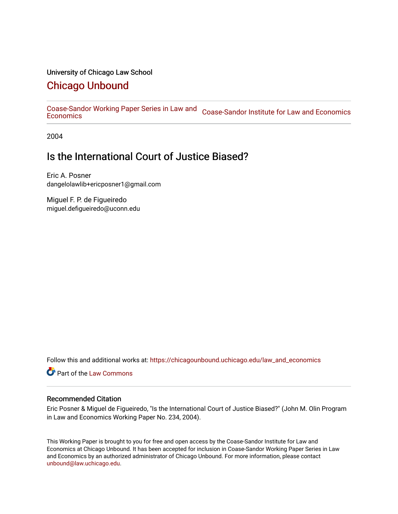#### University of Chicago Law School

# [Chicago Unbound](https://chicagounbound.uchicago.edu/)

[Coase-Sandor Working Paper Series in Law and](https://chicagounbound.uchicago.edu/law_and_economics) [Economics](https://chicagounbound.uchicago.edu/law_and_economics) [Coase-Sandor Institute for Law and Economics](https://chicagounbound.uchicago.edu/coase_sandor_institute) 

2004

# Is the International Court of Justice Biased?

Eric A. Posner dangelolawlib+ericposner1@gmail.com

Miguel F. P. de Figueiredo miguel.defigueiredo@uconn.edu

Follow this and additional works at: [https://chicagounbound.uchicago.edu/law\\_and\\_economics](https://chicagounbound.uchicago.edu/law_and_economics?utm_source=chicagounbound.uchicago.edu%2Flaw_and_economics%2F290&utm_medium=PDF&utm_campaign=PDFCoverPages) 

**Part of the [Law Commons](http://network.bepress.com/hgg/discipline/578?utm_source=chicagounbound.uchicago.edu%2Flaw_and_economics%2F290&utm_medium=PDF&utm_campaign=PDFCoverPages)** 

#### Recommended Citation

Eric Posner & Miguel de Figueiredo, "Is the International Court of Justice Biased?" (John M. Olin Program in Law and Economics Working Paper No. 234, 2004).

This Working Paper is brought to you for free and open access by the Coase-Sandor Institute for Law and Economics at Chicago Unbound. It has been accepted for inclusion in Coase-Sandor Working Paper Series in Law and Economics by an authorized administrator of Chicago Unbound. For more information, please contact [unbound@law.uchicago.edu.](mailto:unbound@law.uchicago.edu)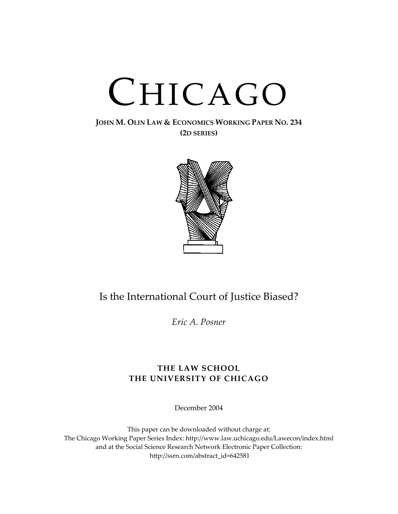# CHICAGO

## **JOHN M. OLIN LAW & ECONOMICS WORKING PAPER NO. 234 (2D SERIES)**



# Is the International Court of Justice Biased?

*Eric A. Posner* 

# **THE LAW SCHOOL THE UNIVERSITY OF CHICAGO**

December 2004

This paper can be downloaded without charge at: The Chicago Working Paper Series Index: http://www.law.uchicago.edu/Lawecon/index.html and at the Social Science Research Network Electronic Paper Collection: http://ssrn.com/abstract\_id=642581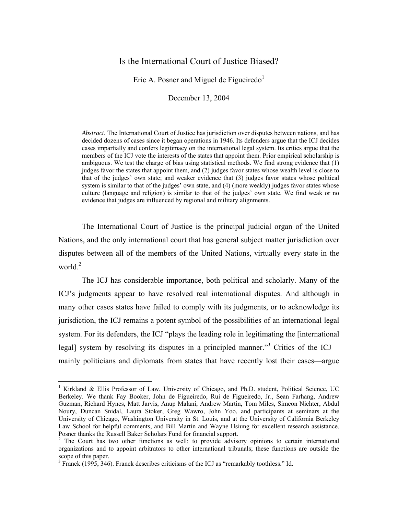## Is the International Court of Justice Biased?

Eric A. Posner and Miguel de Figueiredo<sup>[1](#page-2-0)</sup>

December 13, 2004

*Abstract*. The International Court of Justice has jurisdiction over disputes between nations, and has decided dozens of cases since it began operations in 1946. Its defenders argue that the ICJ decides cases impartially and confers legitimacy on the international legal system. Its critics argue that the members of the ICJ vote the interests of the states that appoint them. Prior empirical scholarship is ambiguous. We test the charge of bias using statistical methods. We find strong evidence that (1) judges favor the states that appoint them, and (2) judges favor states whose wealth level is close to that of the judges' own state; and weaker evidence that (3) judges favor states whose political system is similar to that of the judges' own state, and (4) (more weakly) judges favor states whose culture (language and religion) is similar to that of the judges' own state. We find weak or no evidence that judges are influenced by regional and military alignments.

 The International Court of Justice is the principal judicial organ of the United Nations, and the only international court that has general subject matter jurisdiction over disputes between all of the members of the United Nations, virtually every state in the world. $2$ 

 The ICJ has considerable importance, both political and scholarly. Many of the ICJ's judgments appear to have resolved real international disputes. And although in many other cases states have failed to comply with its judgments, or to acknowledge its jurisdiction, the ICJ remains a potent symbol of the possibilities of an international legal system. For its defenders, the ICJ "plays the leading role in legitimating the [international] legal] system by resolving its disputes in a principled manner."<sup>[3](#page-2-2)</sup> Critics of the ICJ mainly politicians and diplomats from states that have recently lost their cases—argue

1

<span id="page-2-0"></span><sup>&</sup>lt;sup>1</sup> Kirkland & Ellis Professor of Law, University of Chicago, and Ph.D. student, Political Science, UC Berkeley. We thank Fay Booker, John de Figueiredo, Rui de Figueiredo, Jr., Sean Farhang, Andrew Guzman, Richard Hynes, Matt Jarvis, Anup Malani, Andrew Martin, Tom Miles, Simeon Nichter, Abdul Noury, Duncan Snidal, Laura Stoker, Greg Wawro, John Yoo, and participants at seminars at the University of Chicago, Washington University in St. Louis, and at the University of California Berkeley Law School for helpful comments, and Bill Martin and Wayne Hsiung for excellent research assistance. Posner thanks the Russell Baker Scholars Fund for financial support.

<span id="page-2-1"></span><sup>&</sup>lt;sup>2</sup> The Court has two other functions as well: to provide advisory opinions to certain international organizations and to appoint arbitrators to other international tribunals; these functions are outside the scope of this paper.

<span id="page-2-2"></span> $3$  Franck (1995, 346). Franck describes criticisms of the ICJ as "remarkably toothless." Id.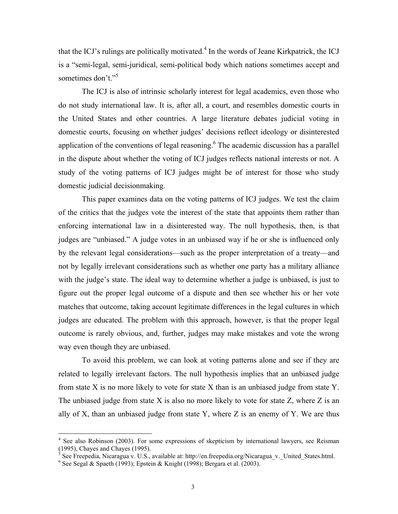that the ICJ's rulings are politically motivated.<sup>[4](#page-3-0)</sup> In the words of Jeane Kirkpatrick, the ICJ is a "semi-legal, semi-juridical, semi-political body which nations sometimes accept and sometimes don't."<sup>[5](#page-3-1)</sup>

The ICJ is also of intrinsic scholarly interest for legal academics, even those who do not study international law. It is, after all, a court, and resembles domestic courts in the United States and other countries. A large literature debates judicial voting in domest ic courts, focusing on whether judges' decisions reflect ideology or disinterested application of the conventions of legal reasoning.<sup>[6](#page-3-2)</sup> The academic discussion has a parallel in the d ispute about whether the voting of ICJ judges reflects national interests or not. A study o f the voting patterns of ICJ judges might be of interest for those who study domest ic judicial decisionmaking.

This paper examines data on the voting patterns of ICJ judges. We test the claim of the critics that the judges vote the interest of the state that appoints them rather than not by legally irrelevant considerations such as whether one party has a military alliance enforcing international law in a disinterested way. The null hypothesis, then, is that judges are "unbiased." A judge votes in an unbiased way if he or she is influenced only by the relevant legal considerations—such as the proper interpretation of a treaty—and with the judge's state. The ideal way to determine whether a judge is unbiased, is just to figure out the proper legal outcome of a dispute and then see whether his or her vote matches that outcome, taking account legitimate differences in the legal cultures in which judges are educated. The problem with this approach, however, is that the proper legal outcome is rarely obvious, and, further, judges may make mistakes and vote the wrong way even though they are unbiased.

related to legally irrelevant factors. The null hypothesis implies that an unbiased judge To avoid this problem, we can look at voting patterns alone and see if they are from state X is no more likely to vote for state X than is an unbiased judge from state Y. The unbiased judge from state X is also no more likely to vote for state Z, where Z is an ally of X, than an unbiased judge from state Y, where  $Z$  is an enemy of Y. We are thus

<span id="page-3-0"></span><sup>&</sup>lt;sup>4</sup> See also Robinson (2003). For some expressions of skepticism by international lawyers, see Reisman (1995), Chayes and Chayes (1995). 5

<span id="page-3-1"></span>See Freepedia, Nicaragua v. U.S., available at: http://en.freepedia.org/Nicaragua\_v.\_United\_States.html.

<span id="page-3-2"></span> $6$  See Segal & Spaeth (1993); Epstein & Knight (1998); Bergara et al. (2003).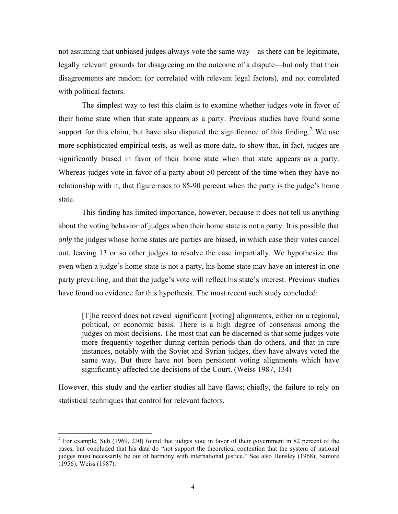not assuming that unbiased judges always vote the same way—as there can be legitimate, legally relevant grounds for disagreeing on the outcome of a dispute—but only that their disagreements are random (or correlated with relevant legal factors), and not correlated with political factors.

relationship with it, that figure rises to 85-90 percent when the party is the judge's home state. The simplest way to test this claim is to examine whether judges vote in favor of their home state when that state appears as a party. Previous studies have found some support for this claim, but have also disputed the significance of this finding.<sup>7</sup> We use more sophisticated empirical tests, as well as more data, to show that, in fact, judges are significantly biased in favor of their home state when that state appears as a party. Whereas judges vote in favor of a party about 50 percent of the time when they have no

This finding has limited importance, however, because it does not tell us anything about the voting behavior of judges when their home state is not a party. It is possible that *only* the judges whose home states are parties are biased, in which case their votes cancel out, leaving 13 or so other judges to resolve the case impartially. We hypothesize that even when a judge's home state is not a party, his home state may have an interest in one party prevailing, and that the judge's vote will reflect his state's interest. Previous studies have found no evidence for this hypothesis. The most recent such study concluded:

more frequently together during certain periods than do others, and that in rare instances, notably with the Soviet and Syrian judges, they have always voted the [T]he record does not reveal significant [voting] alignments, either on a regional, political, or economic basis. There is a high degree of consensus among the judges on most decisions. The most that can be discerned is that some judges vote same way. But there have not been persistent voting alignments which have significantly affected the decisions of the Court. (Weiss 1987, 134)

However, this study and the earlier studies all have flaws; chiefly, the failure to rely on statistical techniques that control for relevant factors.

<span id="page-4-0"></span>cases, but concluded that his data do "not support the theoretical contention that the system of national <sup>7</sup> For example, Suh (1969, 230) found that judges vote in favor of their government in 82 percent of the judges must necessarily be out of harmony with international justice." See also Hensley (1968); Samore (1956); Weiss (1987).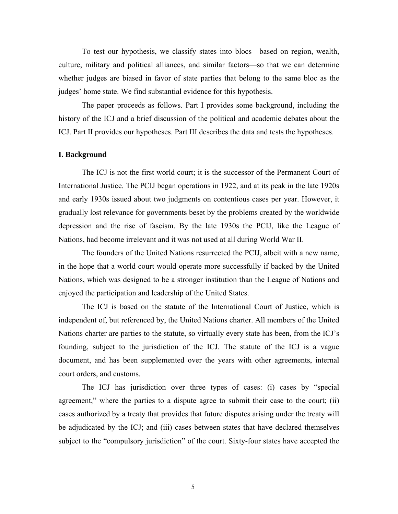To test our hypothesis, we classify states into blocs—based on region, wealth, culture, military and political alliances, and similar factors—so that we can determine whether judges are biased in favor of state parties that belong to the same bloc as the judges' home state. We find substantial evidence for this hypothesis.

The paper proceeds as follows. Part I provides some background, including the history of the ICJ and a brief discussion of the political and academic debates about the ICJ. Part II provides our hypotheses. Part III describes the data and tests the hypotheses.

#### **I. Background**

and early 1930s issued about two judgments on contentious cases per year. However, it The ICJ is not the first world court; it is the successor of the Permanent Court of International Justice. The PCIJ began operations in 1922, and at its peak in the late 1920s gradually lost relevance for governments beset by the problems created by the worldwide depression and the rise of fascism. By the late 1930s the PCIJ, like the League of Nations, had become irrelevant and it was not used at all during World War II.

The founders of the United Nations resurrected the PCIJ, albeit with a new name, in the hope that a world court would operate more successfully if backed by the United Nations, which was designed to be a stronger institution than the League of Nations and enjoyed the participation and leadership of the United States.

The ICJ is based on the statute of the International Court of Justice, which is indepen dent of, but referenced by, the United Nations charter. All members of the United Nations charter are parties to the statute, so virtually every state has been, from the ICJ's foundin g, subject to the jurisdiction of the ICJ. The statute of the ICJ is a vague docume nt, and has been supplemented over the years with other agreements, internal court orders, and customs.

agreement," where the parties to a dispute agree to submit their case to the court; (ii) cases authorized by a treaty that provides that future disputes arising under the treaty will be adjudicated by the ICJ; and (iii) cases between states that have declared themselves The ICJ has jurisdiction over three types of cases: (i) cases by "special subject to the "compulsory jurisdiction" of the court. Sixty-four states have accepted the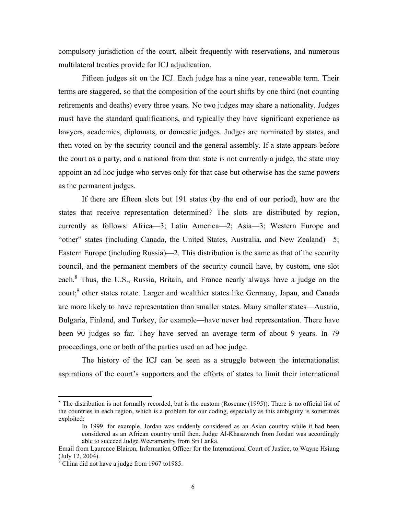compul sory jurisdiction of the court, albeit frequently with reservations, and numerous multilateral treaties provide for ICJ adjudication.

terms are staggered, so that the composition of the court shifts by one third (not counting retirements and deaths) every three years. No two judges may share a nationality. Judges then voted on by the security council and the general assembly. If a state appears before the court as a party, and a national from that state is not currently a judge, the state may Fifteen judges sit on the ICJ. Each judge has a nine year, renewable term. Their must have the standard qualifications, and typically they have significant experience as lawyers, academics, diplomats, or domestic judges. Judges are nominated by states, and appoint an ad hoc judge who serves only for that case but otherwise has the same powers as the permanent judges.

"other" states (including Canada, the United States, Australia, and New Zealand)-5; court;<sup>[9](#page-6-1)</sup> other states rotate. Larger and wealthier states like Germany, Japan, and Canada are more likely to have representation than smaller states. Many smaller states—Austria, If there are fifteen slots but 191 states (by the end of our period), how are the states that receive representation determined? The slots are distributed by region, currently as follows: Africa—3; Latin America—2; Asia—3; Western Europe and Eastern Europe (including Russia)—2. This distribution is the same as that of the security council, and the permanent members of the security council have, by custom, one slot each.<sup>8</sup> Thus, the U.S., Russia, Britain, and France nearly always have a judge on the Bulgaria, Finland, and Turkey, for example—have never had representation. There have been 90 judges so far. They have served an average term of about 9 years. In 79 proceedings, one or both of the parties used an ad hoc judge.

aspirations of the court's supporters and the efforts of states to limit their international The history of the ICJ can be seen as a struggle between the internationalist

1

<span id="page-6-0"></span> $8$  The distribution is not formally recorded, but is the custom (Rosenne (1995)). There is no official list of the countries in each region, which is a problem for our coding, especially as this ambiguity is sometimes exploited:

In 1999, for example, Jordan was suddenly considered as an Asian country while it had been considered as an African country until then. Judge Al-Khasawneh from Jordan was accordingly able to succeed Judge Weeramantry from Sri Lanka.

Email from Laurence Blairon, Information Officer for the International Court of Justice, to Wayne Hsiung  $\frac{1}{9}$  (July 12, 2004).

<span id="page-6-1"></span>China did not have a judge from 1967 to1985.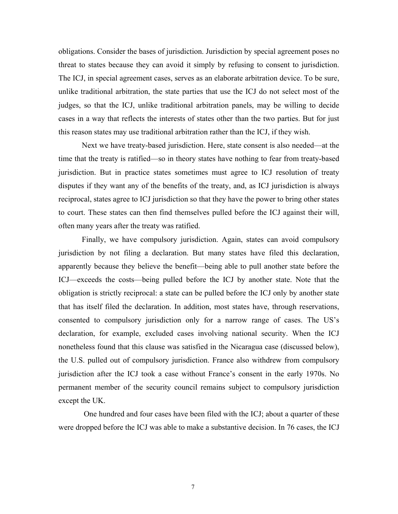obligations. Consider the bases of jurisdiction. Jurisdiction by special agreement poses no threat to states because they can avoid it simply by refusing to consent to jurisdiction. The ICJ, in special agreement cases, serves as an elaborate arbitration device. To be sure, unlike traditional arbitration, the state parties that use the ICJ do not select most of the judges, so that the ICJ, unlike traditional arbitration panels, may be willing to decide cases in a way that reflects the interests of states other than the two parties. But for just this reason states may use traditional arbitration rather than the ICJ, if they wish.

disputes if they want any of the benefits of the treaty, and, as ICJ jurisdiction is always recipro cal, states agree to ICJ jurisdiction so that they have the power to bring other states Next we have treaty-based jurisdiction. Here, state consent is also needed—at the time that the treaty is ratified—so in theory states have nothing to fear from treaty-based jurisdiction. But in practice states sometimes must agree to ICJ resolution of treaty to court. These states can then find themselves pulled before the ICJ against their will, often many years after the treaty was ratified.

nonetheless found that this clause was satisfied in the Nicaragua case (discussed below), permanent member of the security council remains subject to compulsory jurisdiction Finally, we have compulsory jurisdiction. Again, states can avoid compulsory jurisdiction by not filing a declaration. But many states have filed this declaration, apparently because they believe the benefit—being able to pull another state before the ICJ—exceeds the costs—being pulled before the ICJ by another state. Note that the obligation is strictly reciprocal: a state can be pulled before the ICJ only by another state that has itself filed the declaration. In addition, most states have, through reservations, consented to compulsory jurisdiction only for a narrow range of cases. The US's declaration, for example, excluded cases involving national security. When the ICJ the U.S. pulled out of compulsory jurisdiction. France also withdrew from compulsory jurisdiction after the ICJ took a case without France's consent in the early 1970s. No except the UK.

were dropped before the ICJ was able to make a substantive decision. In 76 cases, the ICJ One hundred and four cases have been filed with the ICJ; about a quarter of these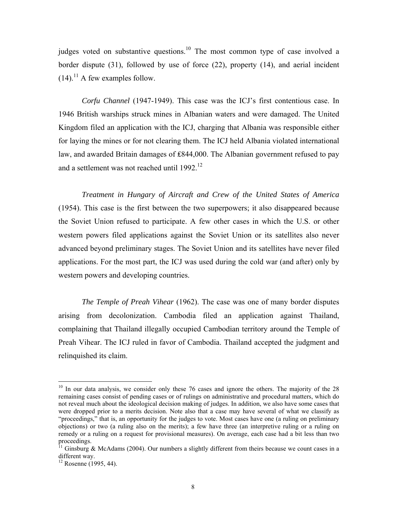judges voted on substantive questions.<sup>10</sup> The most common type of case involved a border dispute (31), followed by use of force (22), property (14), and aerial incident  $(14)$ .<sup>11</sup> A few examples follow.

*Corfu Channel* (1947-1949). This case was the ICJ's first contentious case. In 1946 British warships struck mines in Albanian waters and were damaged. The United Kingdom filed an application with the ICJ, charging that Albania was responsible either for laying the mines or for not clearing them. The ICJ held Albania violated international law, and awarded Britain damages of ₤844,000. The Albanian government refused to pay and a settlement was not reached until 1992.<sup>12</sup>

the Soviet Union refused to participate. A few other cases in which the U.S. or other *Treatment in Hungary of Aircraft and Crew of the United States of America* (1954). This case is the first between the two superpowers; it also disappeared because western powers filed applications against the Soviet Union or its satellites also never advanced beyond preliminary stages. The Soviet Union and its satellites have never filed applications. For the most part, the ICJ was used during the cold war (and after) only by western powers and developing countries.

*The Temple of Preah Vihear* (1962). The case was one of many border disputes arising from decolonization. Cambodia filed an application against Thailand, complaining that Thailand illegally occupied Cambodian territory around the Temple of Preah Vihear. The ICJ ruled in favor of Cambodia. Thailand accepted the judgment and relinquished its claim.

1

<span id="page-8-0"></span><sup>&</sup>lt;sup>10</sup> In our data analysis, we consider only these 76 cases and ignore the others. The majority of the 28 remaining cases consist of pending cases or of rulings on administrative and procedural matters, which do not reveal much ab out the ideological decision making of judges. In addition, we also have some cases that proceedings. were dropped prior to a merits decision. Note also that a case may have several of what we classify as "proceedings," that is, an opportunity for the judges to vote. Most cases have one (a ruling on preliminary objections) or two (a ruling also on the merits); a few have three (an interpretive ruling or a ruling on remedy or a ruling on a request for provisional measures). On average, each case had a bit less than two

<span id="page-8-1"></span> $11$  Ginsburg & McAdams (2004). Our numbers a slightly different from theirs because we count cases in a different way.<br> $12$  Rosenne (1995, 44).

<span id="page-8-2"></span>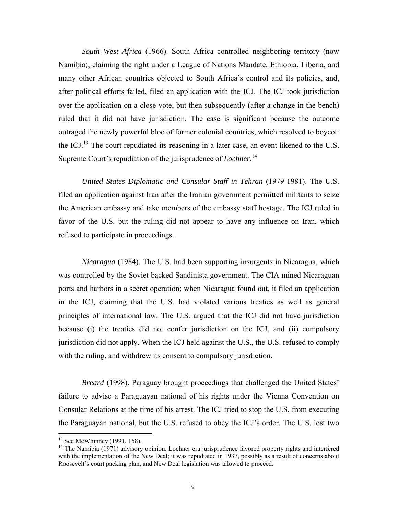*South West Africa* (1966). South Africa controlled neighboring territory (now Namibia), claiming the right under a League of Nations Mandate. Ethiopia, Liberia, and many other African countries objected to South Africa's control and its policies, and, after political efforts failed, filed an application with the ICJ. The ICJ took jurisdiction over the application on a close vote, but then subsequently (after a change in the bench) ruled that it did not have jurisdiction. The case is significant because the outcome outraged the newly powerful bloc of former colonial countries, which resolved to boycott the ICJ.<sup>13</sup> The court repudiated its reasoning in a later case, an event likened to the U.S. Supreme Court's repudiation of the jurisprudence of *Lochner*.<sup>[14](#page-9-1)</sup>

*United States Diplomatic and Consular Staff in Tehran* (1979-1981). The U.S. filed an application against Iran after the Iranian government permitted militants to seize the American embassy and take members of the embassy staff hostage. The ICJ ruled in favor of the U.S. but the ruling did not appear to have any influence on Iran, which refused to participate in proceedings.

was controlled by the Soviet backed Sandinista government. The CIA mined Nicaraguan ports and harbors in a secret operation; when Nicaragua found out, it filed an application with the ruling, and withdrew its consent to compulsory jurisdiction. *Nicaragua* (1984). The U.S. had been supporting insurgents in Nicaragua, which in the ICJ, claiming that the U.S. had violated various treaties as well as general principles of international law. The U.S. argued that the ICJ did not have jurisdiction because (i) the treaties did not confer jurisdiction on the ICJ, and (ii) compulsory jurisdiction did not apply. When the ICJ held against the U.S., the U.S. refused to comply

*Breard* (1998). Paraguay brought proceedings that challenged the United States' failure to advise a Paraguayan national of his rights under the Vienna Convention on Consular Relations at the time of his arrest. The ICJ tried to stop the U.S. from executing the Paraguayan national, but the U.S. refused to obey the ICJ's order. The U.S. lost two

<span id="page-9-0"></span> $13$  See McWhinney (1991, 158).

<span id="page-9-1"></span>with the implementation of the New Deal; it was repudiated in 1937, possibly as a result of concerns about Roosevelt's court packing plan, and New Deal legislation was allowed to proceed. <sup>14</sup> The Namibia (1971) advisory opinion. Lochner era jurisprudence favored property rights and interfered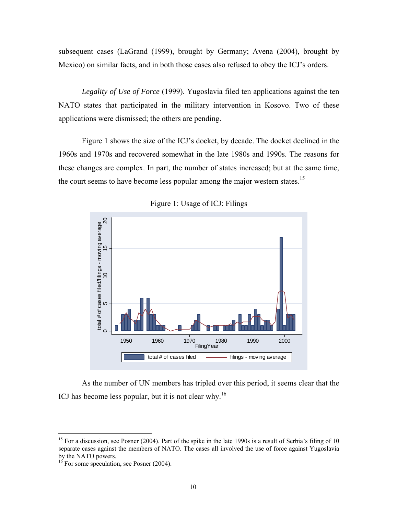subsequent cases (LaGrand (1999), brought by Germany; Avena (2004), brought by Mexico) on similar facts, and in both those cases also refused to obey the ICJ's orders.

*Legality of Use of Force* (1999). Yugoslavia filed ten applications against the ten NATO states that participated in the military intervention in Kosovo. Two of these applications were dismissed; the others are pending.

Figure 1 shows the size of the ICJ's docket, by decade. The docket declined in the 1960s and 1970s and recovered somewhat in the late 1980s and 1990s. The reasons for these changes are complex. In part, the number of states increased; but at the same time, the court seems to have become less popular among the major western states.<sup>15</sup>



Figure 1: Usage of ICJ: Filings

As the number of UN members has tripled over this period, it seems clear that the ICJ has become less popular, but it is not clear why.<sup>[16](#page-10-1)</sup>

<span id="page-10-0"></span><sup>&</sup>lt;sup>15</sup> For a discussion, see Posner (2004). Part of the spike in the late 1990s is a result of Serbia's filing of 10 separate cases against the members of NATO. The cases all involved the use of force against Yugoslavia

<span id="page-10-1"></span> $\frac{16}{16}$  For some speculation, see Posner (2004).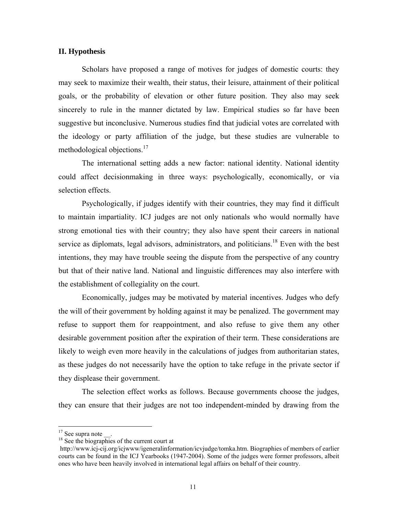#### **II. Hypothesis**

Scholars have proposed a range of motives for judges of domestic courts: they may seek to maximize their wealth, their status, their leisure, attainment of their political suggestive but inconclusive. Numerous studies find that judicial votes are correlated with goals, or the probability of elevation or other future position. They also may seek sincerely to rule in the manner dictated by law. Empirical studies so far have been the ideology or party affiliation of the judge, but these studies are vulnerable to methodological objections.<sup>17</sup>

could affect decisionmaking in three ways: psychologically, economically, or via selection effects. The international setting adds a new factor: national identity. National identity

Psychologically, if judges identify with their countries, they may find it difficult to maintain impartiality. ICJ judges are not only nationals who would normally have strong emotional ties with their country; they also have spent their careers in national service as diplomats, legal advisors, administrators, and politicians.<sup>18</sup> Even with the best intentions, they may have trouble seeing the dispute from the perspective of any country but that of their native land. National and linguistic differences may also interfere with the establishment of collegiality on the court.

Economically, judges may be motivated by material incentives. Judges who defy the will of their government by holding against it may be penalized. The government may refuse to support them for reappointment, and also refuse to give them any other desirable government position after the expiration of their term. These considerations are likely to weigh even more heavily in the calculations of judges from authoritarian states, as these judges do not necessarily have the option to take refuge in the private sector if they displease their government.

The selection effect works as follows. Because governments choose the judges, they can ensure that their judges are not too independent-minded by drawing from the

<span id="page-11-0"></span> $17$  See supra note  $\_\_$ .

<span id="page-11-1"></span> $18$  See the biographies of the current court at

courts can be found in the ICJ Yearbooks (1947-2004). Some of the judges were former professors, albeit ones who have been heavily involved in international legal affairs on behalf of their country. http://www.icj-cij.org/icjwww/igeneralinformation/icvjudge/tomka.htm. Biographies of members of earlier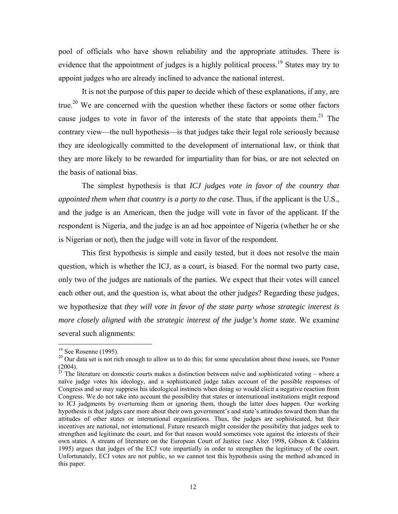pool of officials who have shown reliability and the appropriate attitudes. There is evidence that the appointment of judges is a highly political process.<sup>19</sup> States may try to appoint judges who are already inclined to advance the national interest.

they are ideologically committed to the development of international law, or think that It is not the purpose of this paper to decide which of these explanations, if any, are true.<sup>20</sup> We are concerned with the question whether these factors or some other factors cause judges to vote in favor of the interests of the state that appoints them.<sup>21</sup> The contrary view—the null hypothesis—is that judges take their legal role seriously because they are more likely to be rewarded for impartiality than for bias, or are not selected on the basis of national bias.

*ICJ judges vote in favor of the country that*  The simplest hypothesis is that *appointed them when that country is a party to the case*. Thus, if the applicant is the U.S., and the judge is an American, then the judge will vote in favor of the applicant. If the respondent is Nigeria, and the judge is an ad hoc appointee of Nigeria (whether he or she is Nigerian or not), then the judge will vote in favor of the respondent.

only two of the judges are nationals of the parties. We expect that their votes will cancel This first hypothesis is simple and easily tested, but it does not resolve the main question, which is whether the ICJ, as a court, is biased. For the normal two party case, each other out, and the question is, what about the other judges? Regarding these judges, we hypothesize that *they will vote in favor of the state party whose strategic interest is more closely aligned with the strategic interest of the judge's home state*. We examine several such alignments:

1

<span id="page-12-1"></span><span id="page-12-0"></span>

<sup>&</sup>lt;sup>19</sup> See Rosenne (1995).<br><sup>20</sup> Our data set is not rich enough to allow us to do this; for some speculation about these issues, see Posner (2004).

<span id="page-12-2"></span> $^{21}$  The literature on domestic courts makes a distinction between naïve and sophisticated voting – where a naïve judge votes his ideology, and a sophisticated judge takes account of the possible responses of attitudes of other states or international organizations. Thus, the judges are sophisticated, but their incentives are national, not international. Future research might consider the possibility that judges seek to strengthen and legitimate the court, and for that reason would sometimes vote against the interests of their own states. A stream of literature on the European Court of Justice (see Alter 1998, Gibson & Caldeira Congress and so may suppress his ideological instincts when doing so would elicit a negative reaction from Congress. We do not take into account the possibility that states or international institutions might respond to ICJ judgments by overturning them or ignoring them, though the latter does happen. Our working hypothesis is that judges care more about their own government's and state's attitudes toward them than the 1995) argues that judges of the ECJ vote impartially in order to strengthen the legitimacy of the court. Unfortunately, ECJ votes are not public, so we cannot test this hypothesis using the method advanced in this paper.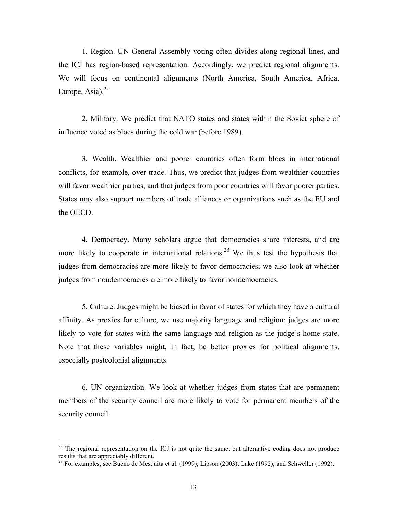1. Region. UN General Assembly voting often divides along regional lines, and the ICJ has region-based representation. Accordingly, we predict regional alignments. We will focus on continental alignments (North America, South America, Africa, Europe, Asia). $^{22}$  $^{22}$  $^{22}$ 

2. Military. We predict that NATO states and states within the Soviet sphere of influence voted as blocs during the cold war (before 1989).

conflicts, for example, over trade. Thus, we predict that judges from wealthier countries will fav or wealthier parties, and that judges from poor countries will favor poorer parties. 3. Wealth. Wealthier and poorer countries often form blocs in international States may also support members of trade alliances or organizations such as the EU and the OECD.

4. Democracy. Many scholars argue that democracies share interests, and are more likely to cooperate in international relations.<sup>23</sup> We thus test the hypothesis that judges from democracies are more likely to favor democracies; we also look at whether judges from nondemocracies are more likely to favor nondemocracies.

likely to vote for states with the same language and religion as the judge's home state. Note that these variables might, in fact, be better proxies for political alignments, 5. Culture. Judges might be biased in favor of states for which they have a cultural affinity. As proxies for culture, we use majority language and religion: judges are more especially postcolonial alignments.

6. UN organization. We look at whether judges from states that are permanent members of the security council are more likely to vote for permanent members of the security council.

<span id="page-13-0"></span> $22$  The regional representation on the ICJ is not quite the same, but alternative coding does not produce results that are appreciably different.

<span id="page-13-1"></span> $^{23}$  For examples, see Bueno de Mesquita et al. (1999); Lipson (2003); Lake (1992); and Schweller (1992).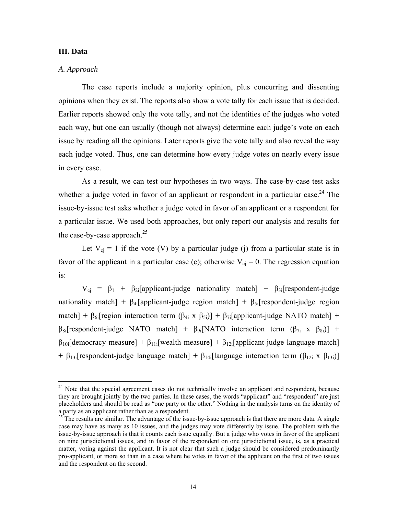#### **III. Data**

1

#### *A. Approach*

The case reports include a majority opinion, plus concurring and dissenting opinions when they exist. The reports also show a vote tally for each issue that is decided. issue by reading all the opinions. Later reports give the vote tally and also reveal the way Earlier reports showed only the vote tally, and not the identities of the judges who voted each way, but one can usually (though not always) determine each judge's vote on each each judge voted. Thus, one can determine how every judge votes on nearly every issue in every case.

issue-by-issue test asks whether a judge voted in favor of an applicant or a respondent for a particular issue. We used both approaches, but only report our analysis and results for the case-by-case approach. $^{25}$  $^{25}$  $^{25}$ As a result, we can test our hypotheses in two ways. The case-by-case test asks whether a judge voted in favor of an applicant or respondent in a particular case.<sup>24</sup> The

Let  $V_{ci} = 1$  if the vote (V) by a particular judge (j) from a particular state is in favor of the applicant in a particular case (c); otherwise  $V_{cj} = 0$ . The regression equation is:

 $V_{ci} = \beta_1 + \beta_{2i}$ [applicant-judge nationality match] +  $\beta_{3i}$ [respondent-judge + β<sub>13i</sub>[respondent-judge language match] + β<sub>14i</sub>[language interaction term (β<sub>12i</sub> x β<sub>13i</sub>)] nationality match] +  $\beta_{4i}$ [applicant-judge region match] +  $\beta_{5i}$ [respondent-judge region match] + β<sub>6i</sub>[region interaction term (β<sub>4i</sub> x β<sub>5i</sub>)] + β<sub>7i</sub>[applicant-judge NATO match] +  $\beta_{8i}$ [respondent-judge NATO match] +  $\beta_{9i}$ [NATO interaction term  $(\beta_{7i} \times \beta_{8i})$ ] +  $\beta_{10i}$ [democracy measure] +  $\beta_{11i}$ [wealth measure] +  $\beta_{12i}$ [applicant-judge language match]

<span id="page-14-0"></span><sup>&</sup>lt;sup>24</sup> Note that the special agreement cases do not technically involve an applicant and respondent, because a party as an applicant rather than as a respondent.<br><sup>25</sup> The results are similar. The advantage of the issu they are brought jointly by the two parties. In these cases, the words "applicant" and "respondent" are just placeholders and should be read as "one party or the other." Nothing in the analysis turns on the identity of

<span id="page-14-1"></span>The results are similar. The advantage of the issue-by-issue approach is that there are more data. A single case may have as many as 10 issues, and the judges may vote differently by issue. The problem with the issue-by-issue approach is that it counts each issue equally. But a judge who votes in favor of the applicant on nine jurisdictional issues, and in favor of the respondent on one jurisdictional issue, is, as a practical pro-applicant, or more so than in a case where he votes in favor of the applicant on the first of two issues matter, voting against the applicant. It is not clear that such a judge should be considered predominantly and the respondent on the second.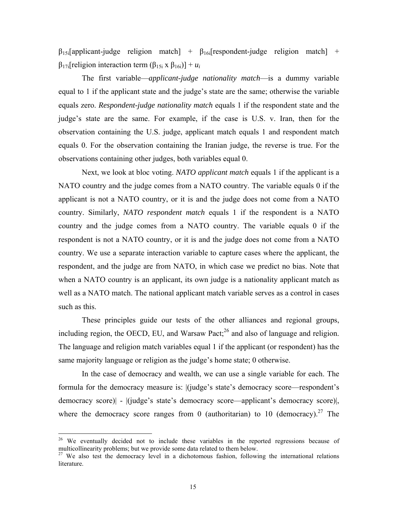$\beta_{15i}$ [applicant-judge religion match] +  $\beta_{16i}$ [respondent-judge religion match] +  $\beta_{17i}$ [religion interaction term ( $\beta_{15i}$  x  $\beta_{16i}$ )] + *u<sub>i</sub>* 

The first variable—*applicant-judge nationality match*—is a dummy variable equal to 1 if the applicant state and the judge's state are the same; otherwise the variable equals zero. *Respondent-judge nationality match* equals 1 if the respondent state and the judge's state are the same. For example, if the case is U.S. v. Iran, then for the observation containing the U.S. judge, applicant match equals 1 and respondent match equals 0. For the observation containing the Iranian judge, the reverse is true. For the observations containing other judges, both variables equal 0.

Next, we look at bloc voting. *NATO applicant match* equals 1 if the applicant is a NATO country and the judge comes from a NATO country. The variable equals 0 if the respondent is not a NATO country, or it is and the judge does not come from a NATO country . We use a separate interaction variable to capture cases where the applicant, the when a NATO country is an applicant, its own judge is a nationality applicant match as well as a NATO match. The national applicant match variable serves as a control in cases applicant is not a NATO country, or it is and the judge does not come from a NATO country. Similarly, *NATO respondent match* equals 1 if the respondent is a NATO country and the judge comes from a NATO country. The variable equals 0 if the respondent, and the judge are from NATO, in which case we predict no bias. Note that such as this.

These principles guide our tests of the other alliances and regional groups, including region, the OECD, EU, and Warsaw Pact; $^{26}$  and also of language and religion. The language and religion match variables equal 1 if the applicant (or respondent) has the same majority language or religion as the judge's home state; 0 otherwise.

In the case of democracy and wealth, we can use a single variable for each. The where the democracy score ranges from 0 (authoritarian) to 10 (democracy).<sup>27</sup> The formula for the democracy measure is: |(judge's state's democracy score—respondent's democracy score)| - |(judge's state's democracy score—applicant's democracy score)|,

<u>.</u>

<span id="page-15-0"></span><sup>&</sup>lt;sup>26</sup> We eventually decided not to include these variables in the reported regressions because of multicollinearity problems; but we provide some data related to them below.

<span id="page-15-1"></span> $\frac{27}{27}$  We also test the democracy level in a dichotomous fashion, following the international relations literature.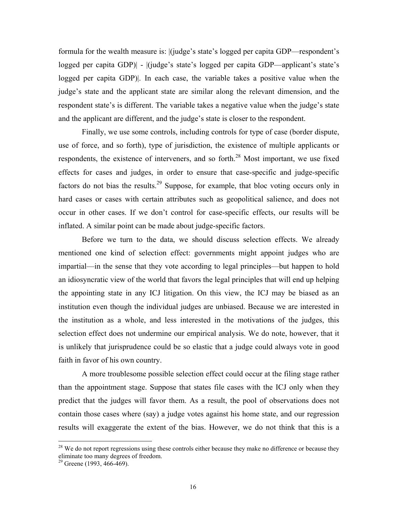formula for the wealth measure is: |(judge's state's logged per capita GDP—respondent's logged per capita GDP)| - |(judge's state's logged per capita GDP—applicant's state's logged per capita GDP)|. In each case, the variable takes a positive value when the judge's state and the applicant state are similar along the relevant dimension, and the respondent state's is different. The variable takes a negative value when the judge's state and the applicant are different, and the judge's state is closer to the respondent.

respondents, the existence of interveners, and so forth.<sup>28</sup> Most important, we use fixed effects for cases and judges, in order to ensure that case-specific and judge-specific Finally, we use some controls, including controls for type of case (border dispute, use of force, and so forth), type of jurisdiction, the existence of multiple applicants or factors do not bias the results.<sup>29</sup> Suppose, for example, that bloc voting occurs only in hard cases or cases with certain attributes such as geopolitical salience, and does not occur in other cases. If we don't control for case-specific effects, our results will be inflated. A similar point can be made about judge-specific factors.

institution even though the individual judges are unbiased. Because we are interested in Before we turn to the data, we should discuss selection effects. We already mentioned one kind of selection effect: governments might appoint judges who are impartial—in the sense that they vote according to legal principles—but happen to hold an idiosyncratic view of the world that favors the legal principles that will end up helping the appointing state in any ICJ litigation. On this view, the ICJ may be biased as an the institution as a whole, and less interested in the motivations of the judges, this selection effect does not undermine our empirical analysis. We do note, however, that it is unlikely that jurisprudence could be so elastic that a judge could always vote in good faith in favor of his own country.

results will exaggerate the extent of the bias. However, we do not think that this is a A more troublesome possible selection effect could occur at the filing stage rather than the appointment stage. Suppose that states file cases with the ICJ only when they predict that the judges will favor them. As a result, the pool of observations does not contain those cases where (say) a judge votes against his home state, and our regression

<span id="page-16-0"></span><sup>&</sup>lt;sup>28</sup> We do not report regressions using these controls either because they make no difference or because they eliminate too many degrees of freedom.<br><sup>29</sup> Greene (1993, 466-469).

<span id="page-16-1"></span>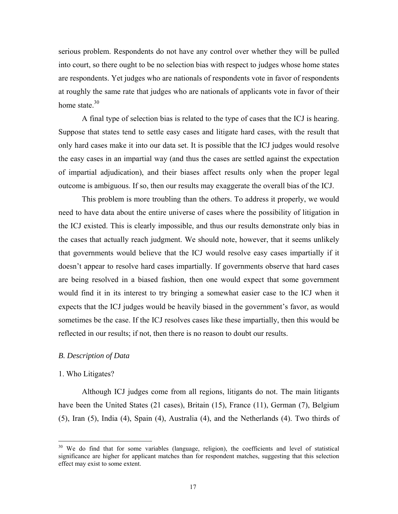serious problem. Respondents do not have any control over whether they will be pulled into court, so there ought to be no selection bias with respect to judges whose home states are respondents. Yet judges who are nationals of respondents vote in favor of respondents at roughly the same rate that judges who are nationals of applicants vote in favor of their home state.<sup>[30](#page-17-0)</sup>

A final type of selection bias is related to the type of cases that the ICJ is hearing. Suppose that states tend to settle easy cases and litigate hard cases, with the result that only hard cases make it into our data set. It is possible that the ICJ judges would resolve the easy cases in an impartial way (and thus the cases are settled against the expectation of impartial adjudication), and their biases affect results only when the proper legal outcome is ambiguous. If so, then our results may exaggerate the overall bias of the ICJ.

the ICJ existed. This is clearly impossible, and thus our results demonstrate only bias in This problem is more troubling than the others. To address it properly, we would need to have data about the entire universe of cases where the possibility of litigation in the cases that actually reach judgment. We should note, however, that it seems unlikely that governments would believe that the ICJ would resolve easy cases impartially if it doesn't appear to resolve hard cases impartially. If governments observe that hard cases are being resolved in a biased fashion, then one would expect that some government would find it in its interest to try bringing a somewhat easier case to the ICJ when it expects that the ICJ judges would be heavily biased in the government's favor, as would sometimes be the case. If the ICJ resolves cases like these impartially, then this would be reflected in our results; if not, then there is no reason to doubt our results.

#### *B. Description of Data*

#### . Who 1 Litigates?

 $\overline{a}$ 

Although ICJ judges come from all regions, litigants do not. The main litigants have been the United States (21 cases), Britain (15), France (11), German (7), Belgium (5), Iran (5), India (4), Spain (4), Australia (4), and the Netherlands (4). Two thirds of

<span id="page-17-0"></span>significance are higher for applicant matches than for respondent matches, suggesting that this selection effect may exist to some extent. <sup>30</sup> We do find that for some variables (language, religion), the coefficients and level of statistical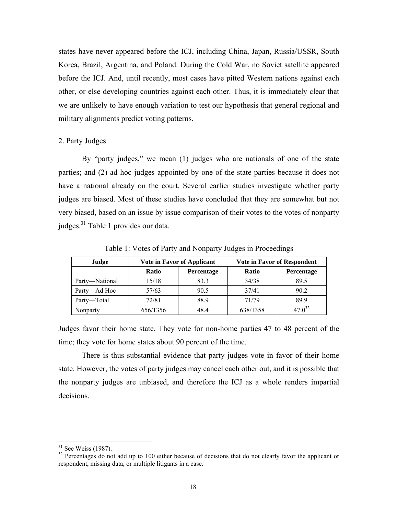states have never appeared before the ICJ, including China, Japan, Russia/USSR, South Korea, Brazil, Argentina, and Poland. During the Cold War, no Soviet satellite appeared before the ICJ. And, until recently, most cases have pitted Western nations against each other, or else developing countries against each other. Thus, it is immediately clear that we are unlikely to have enough variation to test our hypothesis that general regional and military alignments predict voting patterns.

#### 2. Party Judges

judges are biased. Most of these studies have concluded that they are somewhat but not By "party judges," we mean (1) judges who are nationals of one of the state parties; and (2) ad hoc judges appointed by one of the state parties because it does not have a national already on the court. Several earlier studies investigate whether party very biased, based on an issue by issue comparison of their votes to the votes of nonparty judges.<sup>31</sup> Table 1 provides our data.

| Judge          |              | <b>Vote in Favor of Applicant</b> | <b>Vote in Favor of Respondent</b> |             |  |
|----------------|--------------|-----------------------------------|------------------------------------|-------------|--|
|                | <b>Ratio</b> | Percentage                        | <b>Ratio</b>                       | Percentage  |  |
| Party—National | 15/18        | 83.3                              | 34/38                              | 89.5        |  |
| Party—Ad Hoc   | 57/63        | 90.5                              | 37/41                              | 90.2        |  |
| Party-Total    | 72/81        | 88.9                              | 71/79                              | 899         |  |
| Nonparty       | 656/1356     | 48.4                              | 638/1358                           | $47.0^{32}$ |  |

Table 1: Votes of Party and Nonparty Judges in Proceedings

Judges favor their home state. They vote for non-home parties 47 to 48 percent of the time; they vote for home states about 90 percent of the time.

There is thus substantial evidence that party judges vote in favor of their home state. However, the votes of party judges may cancel each other out, and it is possible that the nonparty judges are unbiased, and therefore the ICJ as a whole renders impartial decisions.

<span id="page-18-1"></span><span id="page-18-0"></span>

respondent, missing data, or multiple litigants in a case.  $31$  See Weiss (1987).<br><sup>32</sup> Percentages do not add up to 100 either because of decisions that do not clearly favor the applicant or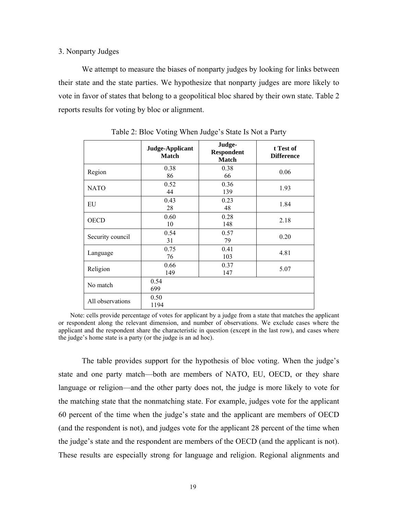#### 3. Nonparty Judges

We attempt to measure the biases of nonparty judges by looking for links between their state and the state parties. We hypothesize that nonparty judges are more likely to vote in favor of states that belong to a geopolitical bloc shared by their own state. Table 2 reports results for voting by bloc or alignment.

|                  | Judge-Applicant<br><b>Match</b> | Judge-<br><b>Respondent</b><br><b>Match</b> | t Test of<br><b>Difference</b> |  |
|------------------|---------------------------------|---------------------------------------------|--------------------------------|--|
| Region           | 0.38<br>86                      | 0.38<br>66                                  | 0.06                           |  |
| <b>NATO</b>      | 0.52<br>44                      | 0.36<br>139                                 | 1.93                           |  |
| EU               | 0.43<br>28                      | 0.23<br>48                                  | 1.84                           |  |
| <b>OECD</b>      | 0.60<br>10                      | 0.28<br>148                                 | 2.18                           |  |
| Security council | 0.54<br>31                      | 0.57<br>79                                  | 0.20                           |  |
| Language         | 0.75<br>76                      | 0.41<br>103                                 | 4.81                           |  |
| Religion         | 0.66<br>149                     | 0.37<br>147                                 | 5.07                           |  |
| No match         | 0.54<br>699                     |                                             |                                |  |
| All observations | 0.50<br>1194                    |                                             |                                |  |

Table 2: Bloc Voting When Judge's State Is Not a Party

Note: cells provide percentage of votes for applicant by a judge from a state that matches the applicant or respondent along the relevant dimension, and number of observations. We exclude cases where the applicant and the respondent share the characteristic in question (except in the last row), and cases where the judge's home state is a party (or the judge is an ad hoc).

the matching state that the nonmatching state. For example, judges vote for the applicant 0 percent of the time when the judge's state and the applicant are members of OECD 6 (and the respondent is not), and judges vote for the applicant 28 percent of the time when the judge's state and the respondent are members of the OECD (and the applicant is not). The table provides support for the hypothesis of bloc voting. When the judge's state and one party match—both are members of NATO, EU, OECD, or they share language or religion—and the other party does not, the judge is more likely to vote for These results are especially strong for language and religion. Regional alignments and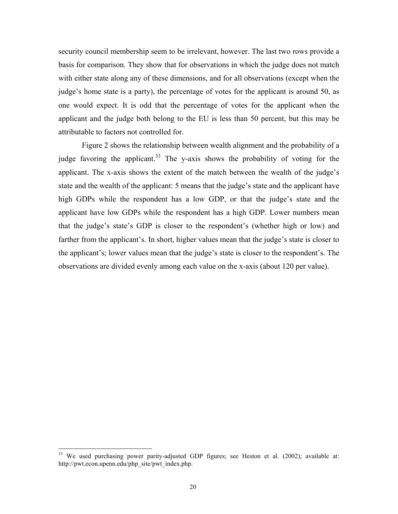security council membership seem to be irrelevant, however. The last two rows provide a one would expect. It is odd that the percentage of votes for the applicant when the applicant and the judge both belong to the EU is less than 50 percent, but this may be attributable to fa ctors not controlled for. basis for comparison. They show that for observations in which the judge does not match with either state along any of these dimensions, and for all observations (except when the judge's home state is a party), the percentage of votes for the applicant is around 50, as

Figure 2 shows the relationship between wealth alignment and the probability of a judge favoring the applicant.<sup>33</sup> The y-axis shows the probability of voting for the applicant. The x-axis shows the extent of the match between the wealth of the judge's state and the wealth of the applicant: 5 means that the judge's state and the applicant have high GDPs while the respondent has a low GDP, or that the judge's state and the applicant have low GDPs while the respondent has a high GDP. Lower numbers mean that the judge's state's GDP is closer to the respondent's (whether high or low) and farther from the applicant's. In short, higher values mean that the judge's state is closer to the applicant's; lower values mean that the judge's state is closer to the respondent's. The observations are divided evenly among each value on the x-axis (about 120 per value).

<span id="page-20-0"></span><sup>&</sup>lt;sup>33</sup> We used purchasing power parity-adjusted GDP figures; see Heston et al. (2002); available at: http://pwt.econ.upenn.edu/php\_site/pwt\_index.php.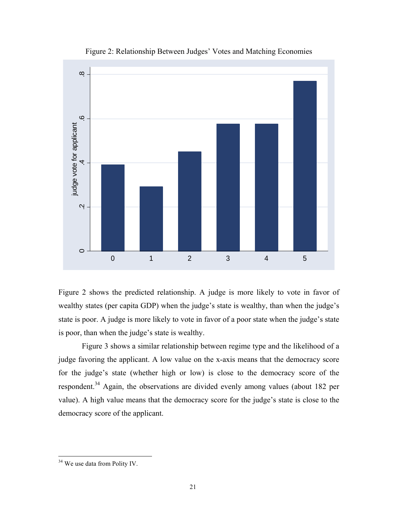

Figure 2: Relationship Between Judges' Votes and Matching Economies

Figure 2 shows the predicted relationship. A judge is more likely to vote in favor of wealthy states (per capita GDP) when the judge's state is wealthy, than when the judge's state is poor. A judge is more likely to vote in favor of a poor state when the judge's state is poor, than when the judge's state is wealthy.

Figure 3 shows a similar relationship between regime type and the likelihood of a judge favoring the applicant. A low value on the x-axis means that the democracy score for the judge's state (whether high or low) is close to the democracy score of the respondent.<sup>34</sup> Again, the observations are divided evenly among values (about 182 per value). A high value means that the democracy score for the judge's state is close to the democracy score of the applicant.

<span id="page-21-0"></span><sup>&</sup>lt;sup>34</sup> We use data from Polity IV.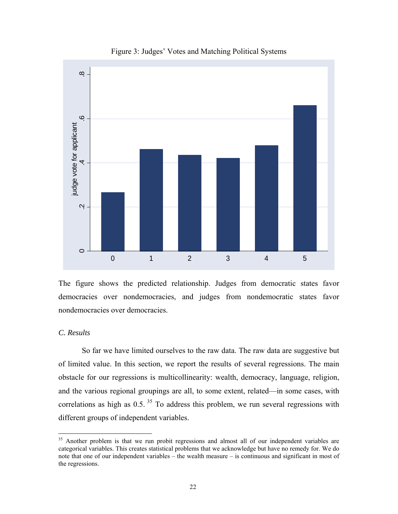

Figure 3: Judges' Votes and Matching Political Systems

The figure shows the predicted relationship. Judges from democratic states favor democracies over nondemocracies, and judges from nondemocratic states favor nondemocracies over democracies.

## *C. Results*

 $\overline{a}$ 

different groups of independent variables. So far we have limited ourselves to the raw data. The raw data are suggestive but of limited value. In this section, we report the results of several regressions. The main obstacle for our regressions is multicollinearity: wealth, democracy, language, religion, and the various regional groupings are all, to some extent, related—in some cases, with correlations as high as  $0.5$ . <sup>35</sup> To address this problem, we run several regressions with

<span id="page-22-0"></span><sup>&</sup>lt;sup>35</sup> Another problem is that we run probit regressions and almost all of our independent variables are categorical variables. This creates statistical problems that we acknowledge but have no remedy for. We do note that one of our independent variables – the wealth measure – is continuous and significant in most of the regressions.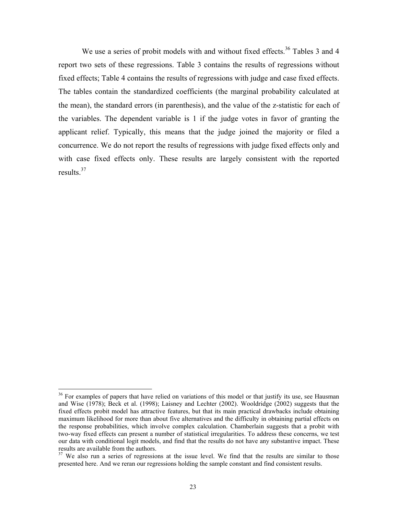Weuse a series of probit models with and without fixed effects.<sup>36</sup> Tables 3 and 4 report two sets of these regressions. Table 3 contains the results of regressions without fixed effects; Table 4 contains the results of regressions with judge and case fixed effects. The tables contain the standardized coefficients (the marginal probability calculated at the mean), the standard errors (in parenthesis), and the value of the z-statistic for each of the variables. The dependent variable is 1 if the judge votes in favor of granting the applicant relief. Typically, this means that the judge joined the majority or filed a concurrence. We do not report the results of regressions with judge fixed effects only and with case fixed effects only. These results are largely consistent with the reported results.<sup>[37](#page-23-1)</sup>

<span id="page-23-0"></span> $\overline{a}$ <sup>36</sup> For examples of papers that have relied on variations of this model or that justify its use, see Hausman and Wise (1978); Beck et al. (1998); Laisney and Lechter (2002). Wooldridge (2002) suggests that the fixed effects probit model has attractive features, but that its main practical drawbacks include obtaining maximum likelihood for more than about five alternatives and the difficulty in obtaining partial effects on the response probabilities, which involve complex calculation. Chamberlain suggests that a probit with two-way fixed effects can present a number of statistical irregularities. To address these concerns, we test our data with conditional logit models, and find that the results do not have any substantive impact. These results are available from the authors.<br><sup>37</sup> We also run a series of regressions at the issue level. We find that the results are similar to those

<span id="page-23-1"></span>presented here. And we reran our regressions holding the sample constant and find consistent results.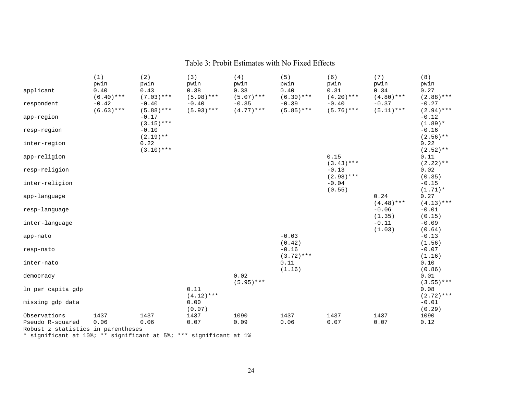#### Table 3: Probit Estimates with No Fixed Effects

|                                    | (1)          | (2)          | (3)          | (4)          | (5)          | (6)                     | (7)          | (8)               |
|------------------------------------|--------------|--------------|--------------|--------------|--------------|-------------------------|--------------|-------------------|
|                                    | pwin         | pwin         | pwin         | pwin         | pwin         | pwin                    | pwin         | pwin              |
| applicant                          | 0.40         | 0.43         | 0.38         | 0.38         | 0.40         | 0.31                    | 0.34         | 0.27              |
|                                    | $(6.40)$ *** | $(7.03)$ *** | $(5.98)$ *** | $(5.07)$ *** | $(6.30)$ *** | $(4.20)$ ***            | $(4.80)$ *** | $(2.88)$ ***      |
| respondent                         | $-0.42$      | $-0.40$      | $-0.40$      | $-0.35$      | $-0.39$      | $-0.40$                 | $-0.37$      | $-0.27$           |
|                                    | $(6.63)$ *** | $(5.88)$ *** | $(5.93)***$  | $(4.77)$ *** | $(5.85)$ *** | $(5.76)$ ***            | $(5.11)***$  | $(2.94)$ ***      |
| app-region                         |              | $-0.17$      |              |              |              |                         |              | $-0.12$           |
|                                    |              | $(3.15)$ *** |              |              |              |                         |              | $(1.89)*$         |
| resp-region                        |              | $-0.10$      |              |              |              |                         |              | $-0.16$           |
|                                    |              | $(2.19)$ **  |              |              |              |                         |              | $(2.56)$ **       |
| inter-region                       |              | 0.22         |              |              |              |                         |              | 0.22              |
|                                    |              | $(3.10)$ *** |              |              |              |                         |              | $(2.52)**$        |
| app-religion                       |              |              |              |              |              | 0.15                    |              | 0.11              |
|                                    |              |              |              |              |              | $(3.43)$ ***            |              | $(2.22)**$        |
| resp-religion                      |              |              |              |              |              | $-0.13$                 |              | 0.02              |
|                                    |              |              |              |              |              | $(2.98)$ ***<br>$-0.04$ |              | (0.35)<br>$-0.15$ |
| inter-religion                     |              |              |              |              |              | (0.55)                  |              | $(1.71)*$         |
| app-language                       |              |              |              |              |              |                         | 0.24         | 0.27              |
|                                    |              |              |              |              |              |                         | $(4.48)$ *** | $(4.13)$ ***      |
| resp-language                      |              |              |              |              |              |                         | $-0.06$      | $-0.01$           |
|                                    |              |              |              |              |              |                         | (1.35)       | (0.15)            |
| inter-language                     |              |              |              |              |              |                         | $-0.11$      | $-0.09$           |
|                                    |              |              |              |              |              |                         | (1.03)       | (0.64)            |
| app-nato                           |              |              |              |              | $-0.03$      |                         |              | $-0.13$           |
|                                    |              |              |              |              | (0.42)       |                         |              | (1.56)            |
| resp-nato                          |              |              |              |              | $-0.16$      |                         |              | $-0.07$           |
|                                    |              |              |              |              | $(3.72)$ *** |                         |              | (1.16)            |
| inter-nato                         |              |              |              |              | 0.11         |                         |              | 0.10              |
|                                    |              |              |              |              | (1.16)       |                         |              | (0.86)            |
| democracy                          |              |              |              | 0.02         |              |                         |              | 0.01              |
|                                    |              |              |              | $(5.95)$ *** |              |                         |              | $(3.55)$ ***      |
| In per capita gdp                  |              |              | 0.11         |              |              |                         |              | 0.08              |
|                                    |              |              | $(4.12)$ *** |              |              |                         |              | $(2.72)$ ***      |
| missing gdp data                   |              |              | 0.00         |              |              |                         |              | $-0.01$           |
|                                    |              |              | (0.07)       |              |              |                         |              | (0.29)            |
| Observations                       | 1437         | 1437         | 1437         | 1090         | 1437         | 1437                    | 1437         | 1090              |
| Pseudo R-squared                   | 0.06         | 0.06         | 0.07         | 0.09         | 0.06         | 0.07                    | 0.07         | 0.12              |
| Robust z statistics in parentheses |              |              |              |              |              |                         |              |                   |

\* significant at 10%; \*\* significant at 5%; \*\*\* significant at 1%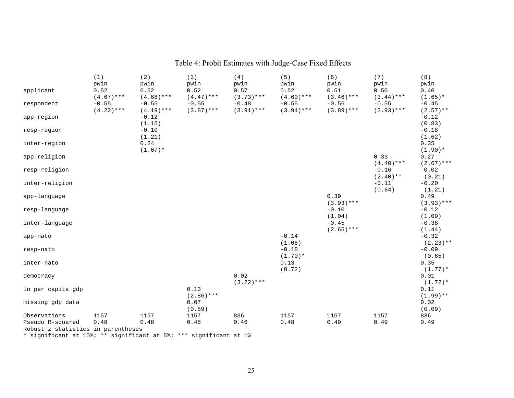#### Table 4: Probit Estimates with Judge-Case Fixed Effects

|                                    | (1)          | (2)          | (3)          | (4)          | (5)          | (6)                  | (7)          | (8)                     |
|------------------------------------|--------------|--------------|--------------|--------------|--------------|----------------------|--------------|-------------------------|
|                                    | pwin         | pwin         | pwin         | pwin         | pwin         | pwin                 | pwin         | pwin                    |
| applicant                          | 0.52         | 0.52         | 0.52         | 0.57         | 0.52         | 0.51                 | 0.50         | 0.40                    |
|                                    | $(4.67)$ *** | $(4.68)$ *** | $(4.47)$ *** | $(3.73)$ *** | $(4.60)$ *** | $(3.46)$ ***         | $(3.44)$ *** | $(1.65)$ *              |
| respondent                         | $-0.55$      | $-0.55$      | $-0.55$      | $-0.48$      | $-0.55$      | $-0.56$              | $-0.55$      | $-0.45$                 |
|                                    | $(4.22)$ *** | $(4.19)$ *** | $(3.87)$ *** | $(3.91)***$  | $(3.94)$ *** | $(3.89)$ ***         | $(3.93)***$  | $(2.57)$ **             |
| app-region                         |              | $-0.12$      |              |              |              |                      |              | $-0.12$                 |
|                                    |              | (1.15)       |              |              |              |                      |              | (0.83)                  |
| resp-region                        |              | $-0.10$      |              |              |              |                      |              | $-0.18$                 |
|                                    |              | (1.21)       |              |              |              |                      |              | (1.62)                  |
| inter-region                       |              | 0.24         |              |              |              |                      |              | 0.35                    |
|                                    |              | $(1.67)$ *   |              |              |              |                      |              | $(1.90)*$               |
| app-religion                       |              |              |              |              |              |                      | 0.33         | 0.27                    |
|                                    |              |              |              |              |              |                      | $(4.40)$ *** | $(2.67)$ ***            |
| resp-religion                      |              |              |              |              |              |                      | $-0.16$      | $-0.02$                 |
|                                    |              |              |              |              |              |                      | $(2.40)$ **  | (0.21)                  |
| inter-religion                     |              |              |              |              |              |                      | $-0.11$      | $-0.20$                 |
|                                    |              |              |              |              |              |                      | (0.84)       | (1.21)                  |
| app-language                       |              |              |              |              |              | 0.39<br>$(3.93)$ *** |              | 0.49                    |
| resp-language                      |              |              |              |              |              | $-0.10$              |              | $(3.93)$ ***<br>$-0.12$ |
|                                    |              |              |              |              |              | (1.04)               |              | (1.09)                  |
| inter-language                     |              |              |              |              |              | $-0.45$              |              | $-0.38$                 |
|                                    |              |              |              |              |              | $(2.65)$ ***         |              | (1.44)                  |
| app-nato                           |              |              |              |              | $-0.14$      |                      |              | $-0.32$                 |
|                                    |              |              |              |              | (1.08)       |                      |              | $(2.23)$ **             |
| resp-nato                          |              |              |              |              | $-0.18$      |                      |              | $-0.09$                 |
|                                    |              |              |              |              | $(1.70)*$    |                      |              | (0.65)                  |
| inter-nato                         |              |              |              |              | 0.13         |                      |              | 0.35                    |
|                                    |              |              |              |              | (0.72)       |                      |              | $(1.77)*$               |
| democracy                          |              |              |              | 0.02         |              |                      |              | 0.01                    |
|                                    |              |              |              | $(3.22)$ *** |              |                      |              | $(1.72)*$               |
| In per capita gdp                  |              |              | 0.13         |              |              |                      |              | 0.11                    |
|                                    |              |              | $(2.86)$ *** |              |              |                      |              | $(1.99)$ **             |
| missing gdp data                   |              |              | 0.07         |              |              |                      |              | 0.02                    |
|                                    |              |              | (0.59)       |              |              |                      |              | (0.09)                  |
| Observations                       | 1157         | 1157         | 1157         | 836          | 1157         | 1157                 | 1157         | 836                     |
| Pseudo R-squared                   | 0.48         | 0.48         | 0.48         | 0.46         | 0.48         | 0.49                 | 0.49         | 0.49                    |
| Robust z statistics in parentheses |              |              |              |              |              |                      |              |                         |

\* significant at 10%; \*\* significant at 5%; \*\*\* significant at 1%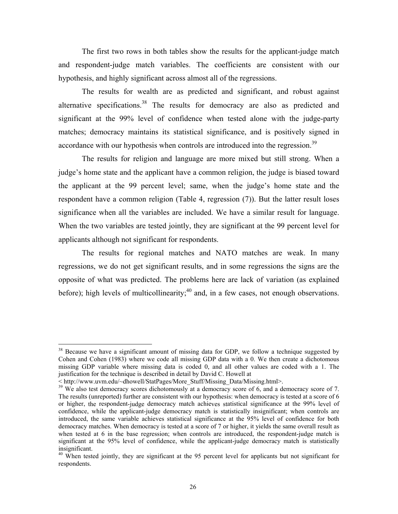The first two rows in both tables show the results for the applicant-judge match and respondent-judge match variables. The coefficients are consistent with our hypothesis, and highly significant across alm ost all of the regressions.

matches; democracy maintains its statistical significance, and is positively signed in The results for wealth are as predicted and significant, and robust against alternative specifications.<sup>[38](#page-26-0)</sup> The results for democracy are also as predicted and significant at the 99% level of confidence when tested alone with the judge-party accordance with our hypothesis when controls are introduced into the regression.<sup>[39](#page-26-1)</sup>

the applicant at the 99 percent level; same, when the judge's home state and the significance when all the variables are included. We have a similar result for language. The results for religion and language are m ore m ixed but still strong. W hen a When the two variables are tested jointly, they are significant at the 99 percent level for respondent have a common religion (Table 4, regression  $(7)$ ). But the latter result loses judge's home state and the applicant have a common religion, the judge is biased toward applicants although not significant for respondents.

before); high levels of multicollinearity;<sup>[40](#page-26-2)</sup> and, in a few cases, not enough observations. The results for regional matches and NATO matches are weak. In many opposite of what was predicted. The problems here are lack of variation (as explained regressions, we do not get significant results, and in some regressions the signs are the

1

<span id="page-26-0"></span> $38$  Because we have a significant amount of missing data for GDP, we follow a technique suggested by missing GDP variable where missing data is coded 0, and all other values are coded with a 1. The Cohen and Cohen (1983) where we code all missing GDP data with a 0. We then create a dichotomous justification for the technique is described in detail by David C. Howell at

<sup>&</sup>lt; http://www.uvm.edu/~dhowell/StatPages/More\_Stuff/Missing\_Data/Missing.html>.

<span id="page-26-1"></span><sup>&</sup>lt;sup>39</sup> We also test democracy scores dichotomously at a democracy score of 6, and a democracy score of 7. or higher, the respondent-judge democracy match achieves statistical significance at the 99% level of The results (unreported) further are consistent with our hypothesis: when democracy is tested at a score of 6 confidence, while the applicant-judge democracy match is statistically insignificant; when controls are introduced, the same variable achieves statistical significance at the 95% level of confidence for both democracy matches. When democracy is tested at a score of 7 or higher, it yields the same overall result as when tested at 6 in the base regression; when controls are introduced, the respondent-judge match is significant at the 95% level of confidence, while the applicant-judge democracy match is statistically insig nifican t.

<span id="page-26-2"></span> $40$  When tested jointly, they are significant at the 95 percent level for applicants but not significant for respondent s.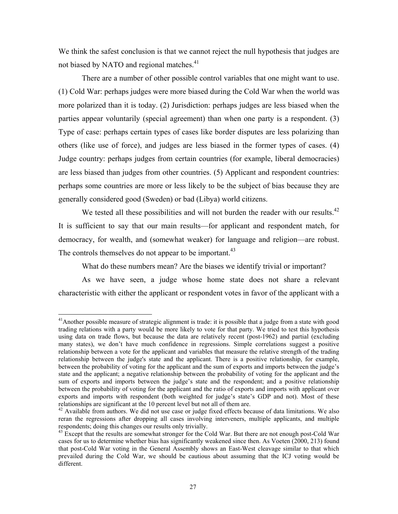We think the safest conclusion is that we cannot reject the null hypothesis that judges are not biased by NATO and regional matches.<sup>[41](#page-27-0)</sup>

There are a number of other possible control variables that one might want to use. (1) Col d War: perhaps judges were more biased during the Cold War when the world was others (like use of force), and judges are less biased in the former types of cases. (4) Judge c ountry: perhaps judges from certain countries (for example, liberal democracies) more polarized than it is today. (2) Jurisdiction: perhaps judges are less biased when the parties appear voluntarily (special agreement) than when one party is a respondent. (3) Type of case: perhaps certain types of cases like border disputes are less polarizing than are less biased than judges from other countries. (5) Applicant and respondent countries: perhaps some countries are more or less likely to be the subject of bias because they are generally considered good (Sweden) or bad (Libya) world citizens.

democracy, for wealth, and (somewhat weaker) for language and religion—are robust. The controls themselves do not appear to be important.<sup>[43](#page-27-2)</sup> We tested all these possibilities and will not burden the reader with our results. $42$ It is sufficient to say that our main results—for applicant and respondent match, for

What do these numbers mean? Are the biases we identify trivial or important?

As we have seen, a judge whose home state does not share a relevant characteristic with either the applicant or respondent votes in favor of the applicant with a

<span id="page-27-0"></span><sup>&</sup>lt;sup>41</sup>Another possible measure of strategic alignment is trade: it is possible that a judge from a state with good trading relations with a party would be more likely to vote for that party. We tried to test this hypothesis using data on trade flows, but because the data are relatively recent (post-1962) and partial (excluding many states), we don't have much confidence in regressions. Simple correlations suggest a positive state and the applicant; a negative relationship between the probability of voting for the applicant and the sum of exports and imports between the judge's state and the respondent; and a positive relationship relationship between a vote for the applicant and variables that measure the relative strength of the trading relationship between the judge's state and the applicant. There is a positive relationship, for example, between the probability of voting for the applicant and the sum of exports and imports between the judge's between the probability of voting for the applicant and the ratio of exports and imports with applicant over exports and imports with respondent (both weighted for judge's state's GDP and not). Most of these relationships are significant at the 10 percent level but not all of them are.

<span id="page-27-1"></span><sup>&</sup>lt;sup>42</sup> Available from authors. We did not use case or judge fixed effects because of data limitations. We also reran the regressions after dropping all cases involving interveners, multiple applicants, and multiple respondents; doing this changes our results only trivially. 43 Except that the results are somewhat stronger for the Cold War. But there are not enough post-Cold War

<span id="page-27-2"></span>that post-Cold War voting in the General Assembly shows an East-West cleavage similar to that which cases for us to determine whether bias has significantly weakened since then. As Voeten (2000, 213) found prevailed during the Cold War, we should be cautious about assuming that the ICJ voting would be different.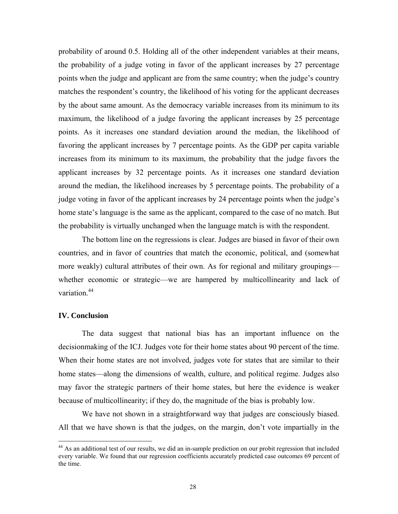probability of around 0.5. Holding all of the other independent variables at their means, the probability of a judge voting in favor of the applicant increases by 27 percentage points w hen the judge and applicant are from the same country; when the judge's country judge voting in favor of the applicant increases by 24 percentage points when the judge's home s tate's language is the same as the applicant, compared to the case of no match. But matches the respondent's country, the likelihood of his voting for the applicant decreases by the about same amount. As the democracy variable increases from its minimum to its maximum, the likelihood of a judge favoring the applicant increases by 25 percentage points. As it increases one standard deviation around the median, the likelihood of favoring the applicant increases by 7 percentage points. As the GDP per capita variable increases from its minimum to its maximum, the probability that the judge favors the applicant increases by 32 percentage points. As it increases one standard deviation around the median, the likelihood increases by 5 percentage points. The probability of a the probability is virtually unchanged when the language match is with the respondent.

countries, and in favor of countries that match the economic, political, and (somewhat more weakly) cultural attributes of their own. As for regional and military groupings whethe r economic or strategic—we are hampered by multicollinearity and lack of The bottom line on the regressions is clear. Judges are biased in favor of their own variation.<sup>[44](#page-28-0)</sup>

#### **IV. Conclusion**

 $\overline{a}$ 

The data suggest that national bias has an important influence on the decisionmaking of the ICJ. Judges vote for their home states about 90 percent of the time. When their home states are not involved, judges vote for states that are similar to their home states—along the dimensions of wealth, culture, and political regime. Judges also may favor the strategic partners of their home states, but here the evidence is weaker because of multicollinearity; if they do, the magnitude of the bias is probably low.

All that we have shown is that the judges, on the margin, don't vote impartially in the We have not shown in a straightforward way that judges are consciously biased.

<span id="page-28-0"></span><sup>&</sup>lt;sup>44</sup> As an additional test of our results, we did an in-sample prediction on our probit regression that included every variable. We found that our regression coefficients accurately predicted case outcomes 69 percent of the time.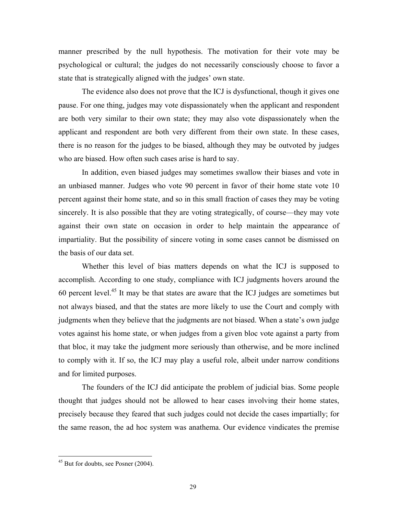manner prescribed by the null hypothesis. The motivation for their vote may be psychological or cultural; the judges do not necessarily consciously choose to favor a state that is strategically aligned with the judges' own state.

The evidence also does not prove that the ICJ is dysfunctional, though it gives one pause. For one thing, judges may vote dispassionately when the applicant and respondent are both very similar to their own state; they may also vote dispassionately when the applicant and respondent are both very different from their own state. In these cases, there is no reason for the judges to be biased, although they may be outvoted by judges who are biased. How often such cases arise is hard to say.

In addition, even biased judges may sometimes swallow their biases and vote in an unbiased manner. Judges who vote 90 percent in favor of their home state vote 10 percent against their home state, and so in this small fraction of cases they may be voting sincerely. It is also possible that they are voting strategically, of course—they may vote against their own state on occasion in order to help maintain the appearance of imparti ality. But the possibility of sincere voting in some cases cannot be dismissed on the basis of our data set.

60 percent level. $45$  It may be that states are aware that the ICJ judges are sometimes but not always biased, and that the states are more likely to use the Court and comply with judgments when they believe that the judgments are not biased. When a state's own judge votes a gainst his home state, or when judges from a given bloc vote against a party from Whether this level of bias matters depends on what the ICJ is supposed to accomplish. According to one study, compliance with ICJ judgments hovers around the that bloc, it may take the judgment more seriously than otherwise, and be more inclined to comply with it. If so, the ICJ may play a useful role, albeit under narrow conditions and for limited purposes.

thought that judges should not be allowed to hear cases involving their home states, precise ly because they feared that such judges could not decide the cases impartially; for The founders of the ICJ did anticipate the problem of judicial bias. Some people the same reason, the ad hoc system was anathema. Our evidence vindicates the premise

<u>.</u>

<span id="page-29-0"></span><sup>&</sup>lt;sup>45</sup> But for doubts, see Posner (2004).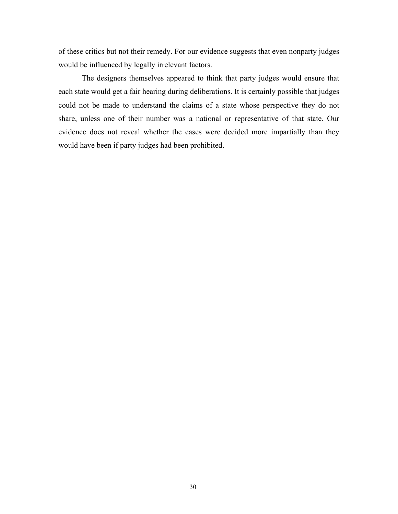of these critics but not their remedy. For our evidence suggests that even nonparty judges would be influenced by legally irrelevant factors.

The designers themselves appeared to think that party judges would ensure that each state would get a fair hearing during deliberations. It is certainly possible that judges could not be made to understand the claims of a state whose perspective they do not share, unless one of their number was a national or representative of that state. Our evidence does not reveal whether the cases were decided more impartially than they would have been if party judges had been prohibited.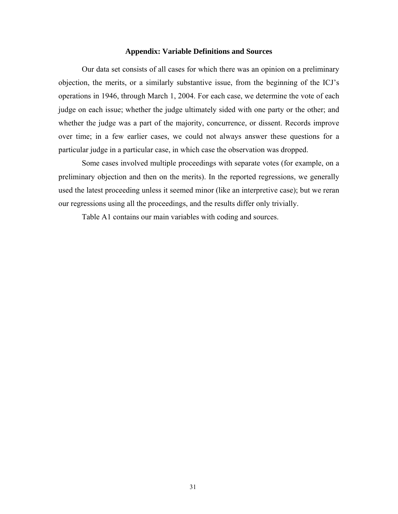#### **Appendix: Variable Definitions and Sources**

Our data set consists of all cases for which there was an opinion on a preliminary objectio n, the merits, or a similarly substantive issue, from the beginning of the ICJ's particular judge in a particular case, in which case the observation was dropped. operations in 1946, through March 1, 2004. For each case, we determine the vote of each judge on each issue; whether the judge ultimately sided with one party or the other; and whether the judge was a part of the majority, concurrence, or dissent. Records improve over time; in a few earlier cases, we could not always answer these questions for a

Some cases involved multiple proceedings with separate votes (for example, on a preliminary objection and then on the merits). In the reported regressions, we generally used the latest proceeding unless it seemed minor (like an interpretive case); but we reran our regressions using all the proceedings, and the results differ only trivially.

Table A1 contains our main variables with coding and sources.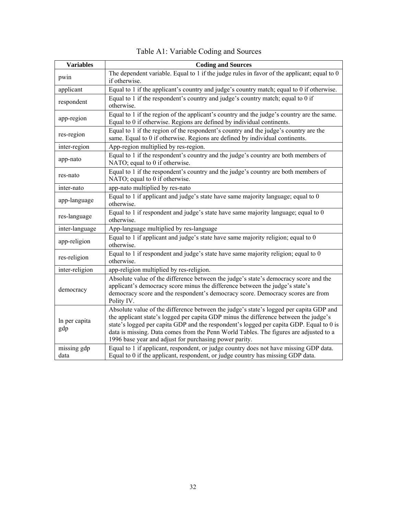| <b>Variables</b>     | <b>Coding and Sources</b>                                                                                                                                                                                                                                                                                                                                                                                                    |  |  |  |  |  |
|----------------------|------------------------------------------------------------------------------------------------------------------------------------------------------------------------------------------------------------------------------------------------------------------------------------------------------------------------------------------------------------------------------------------------------------------------------|--|--|--|--|--|
| pwin                 | The dependent variable. Equal to 1 if the judge rules in favor of the applicant; equal to 0<br>if otherwise.                                                                                                                                                                                                                                                                                                                 |  |  |  |  |  |
| applicant            | Equal to 1 if the applicant's country and judge's country match; equal to 0 if otherwise.                                                                                                                                                                                                                                                                                                                                    |  |  |  |  |  |
| respondent           | Equal to 1 if the respondent's country and judge's country match; equal to 0 if<br>otherwise.                                                                                                                                                                                                                                                                                                                                |  |  |  |  |  |
| app-region           | Equal to 1 if the region of the applicant's country and the judge's country are the same.<br>Equal to 0 if otherwise. Regions are defined by individual continents.                                                                                                                                                                                                                                                          |  |  |  |  |  |
| res-region           | Equal to 1 if the region of the respondent's country and the judge's country are the<br>same. Equal to 0 if otherwise. Regions are defined by individual continents.                                                                                                                                                                                                                                                         |  |  |  |  |  |
| inter-region         | App-region multiplied by res-region.                                                                                                                                                                                                                                                                                                                                                                                         |  |  |  |  |  |
| app-nato             | Equal to 1 if the respondent's country and the judge's country are both members of<br>NATO; equal to 0 if otherwise.                                                                                                                                                                                                                                                                                                         |  |  |  |  |  |
| res-nato             | Equal to 1 if the respondent's country and the judge's country are both members of<br>NATO; equal to 0 if otherwise.                                                                                                                                                                                                                                                                                                         |  |  |  |  |  |
| inter-nato           | app-nato multiplied by res-nato                                                                                                                                                                                                                                                                                                                                                                                              |  |  |  |  |  |
| app-language         | Equal to 1 if applicant and judge's state have same majority language; equal to 0<br>otherwise.                                                                                                                                                                                                                                                                                                                              |  |  |  |  |  |
| res-language         | Equal to 1 if respondent and judge's state have same majority language; equal to 0<br>otherwise.                                                                                                                                                                                                                                                                                                                             |  |  |  |  |  |
| inter-language       | App-language multiplied by res-language                                                                                                                                                                                                                                                                                                                                                                                      |  |  |  |  |  |
| app-religion         | Equal to 1 if applicant and judge's state have same majority religion; equal to 0<br>otherwise.                                                                                                                                                                                                                                                                                                                              |  |  |  |  |  |
| res-religion         | Equal to 1 if respondent and judge's state have same majority religion; equal to 0<br>otherwise.                                                                                                                                                                                                                                                                                                                             |  |  |  |  |  |
| inter-religion       | app-religion multiplied by res-religion.                                                                                                                                                                                                                                                                                                                                                                                     |  |  |  |  |  |
| democracy            | Absolute value of the difference between the judge's state's democracy score and the<br>applicant's democracy score minus the difference between the judge's state's<br>democracy score and the respondent's democracy score. Democracy scores are from<br>Polity IV.                                                                                                                                                        |  |  |  |  |  |
| In per capita<br>gdp | Absolute value of the difference between the judge's state's logged per capita GDP and<br>the applicant state's logged per capita GDP minus the difference between the judge's<br>state's logged per capita GDP and the respondent's logged per capita GDP. Equal to 0 is<br>data is missing. Data comes from the Penn World Tables. The figures are adjusted to a<br>1996 base year and adjust for purchasing power parity. |  |  |  |  |  |
| missing gdp<br>data  | Equal to 1 if applicant, respondent, or judge country does not have missing GDP data.<br>Equal to 0 if the applicant, respondent, or judge country has missing GDP data.                                                                                                                                                                                                                                                     |  |  |  |  |  |

Table A1: Variable Coding and Sources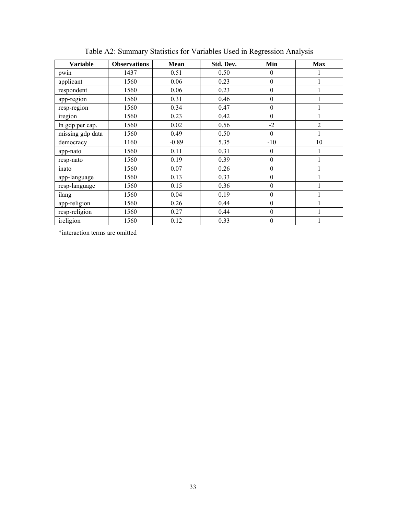| <b>Variable</b>  | <b>Observations</b> | Mean    | Std. Dev. | Min              | <b>Max</b>     |
|------------------|---------------------|---------|-----------|------------------|----------------|
| pwin             | 1437                | 0.51    | 0.50      | $\boldsymbol{0}$ |                |
| applicant        | 1560                | 0.06    | 0.23      | $\boldsymbol{0}$ |                |
| respondent       | 1560                | 0.06    | 0.23      | $\boldsymbol{0}$ |                |
| app-region       | 1560                | 0.31    | 0.46      | $\boldsymbol{0}$ | 1              |
| resp-region      | 1560                | 0.34    | 0.47      | $\boldsymbol{0}$ |                |
| iregion          | 1560                | 0.23    | 0.42      | $\mathbf{0}$     | 1              |
| In gdp per cap.  | 1560                | 0.02    | 0.56      | $-2$             | $\overline{2}$ |
| missing gdp data | 1560                | 0.49    | 0.50      | $\boldsymbol{0}$ |                |
| democracy        | 1160                | $-0.89$ | 5.35      | $-10$            | 10             |
| app-nato         | 1560                | 0.11    | 0.31      | $\boldsymbol{0}$ |                |
| resp-nato        | 1560                | 0.19    | 0.39      | $\boldsymbol{0}$ | 1              |
| inato            | 1560                | 0.07    | 0.26      | $\mathbf{0}$     |                |
| app-language     | 1560                | 0.13    | 0.33      | $\boldsymbol{0}$ |                |
| resp-language    | 1560                | 0.15    | 0.36      | $\boldsymbol{0}$ |                |
| ilang            | 1560                | 0.04    | 0.19      | $\boldsymbol{0}$ |                |
| app-religion     | 1560                | 0.26    | 0.44      | $\theta$         |                |
| resp-religion    | 1560                | 0.27    | 0.44      | $\boldsymbol{0}$ | 1              |
| ireligion        | 1560                | 0.12    | 0.33      | $\mathbf{0}$     |                |

Table A2: Summary Statistics for Variables Used in Regression Analysis

\*interaction terms are omitted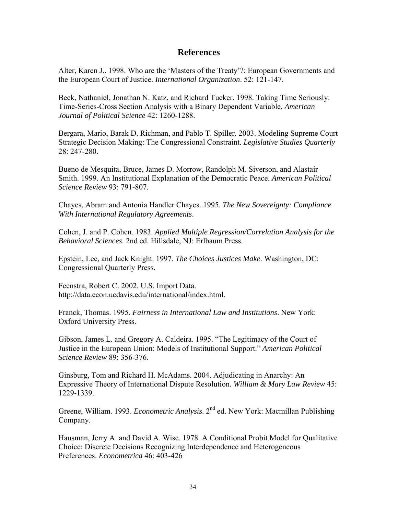## **References**

Alter, Karen J.. 1998. Who are the 'Masters of the Treaty'?: European Governments and the European Court of Justice. *International Organization*. 52: 121-147.

Beck, Nathaniel, Jonathan N. Katz, and Richard Tucker. 1998. Taking Time Seriously: Time-Series-Cross Section Analysis with a Binary Dependent Variable. American *Journal of Political Science* 42: 1260-1288.

Bergara, Mario, Barak D. Richman, and Pablo T. Spiller. 2003. Modeling Supreme Court Strategic Decision Making: The Congressional Constraint. *Legislative Studies Quarterly* 28: 247-280.

Bueno de Mesquita, Bruce, James D. Morrow, Randolph M. Siverson, and Alastair Smith. 1999. An Institutional Explanation of the Democratic Peace. American Political *Science Review* 93: 791-807.

Chayes, Abram and Antonia Handler Chayes. 1995. The New Sovereignty: Compliance  $i$  *With International Regulatory Agreements.* 

Cohen, J. and P. Cohen. 1983. Applied Multiple Regression/Correlation Analysis for the Behavioral Sciences. 2nd ed. Hillsdale, NJ: Erlbaum Press.

Epstein, Lee, and Jack Knight. 1997. *The Choices Justices Make*. Washington, DC: Congressional Quarterly Press.

Feenstra, Robert C. 2002. U.S. Import Data. http://data.econ.ucdavis.edu/international/index.html.

Franck, Thomas. 1995. *Fairness in International Law and Institutions*. New York: Oxford University Press.

Gibson, James L. and Gregory A. Caldeira. 1995. "The Legitimacy of the Court of Justice in the European Union: Models of Institutional Support." *American Political Science Review* 89: 356-376.

Ginsburg, Tom and Richard H. McAdams. 2004. Adjudicating in Anarchy: An Expressive Theory of International Dispute Resolution. *William & Mary Law Review* 45: 1229-1339.

Greene, William. 1993. *Econometric Analysis*. 2nd ed. New York: Macmillan Publishing Company.

Hausman, Jerry A. and David A. Wise. 1978. A Conditional Probit Model for Qualitative Choice: Discrete Decisions Recognizing Interdependence and Heterogeneous Preferences. *Econometrica* 46: 403-426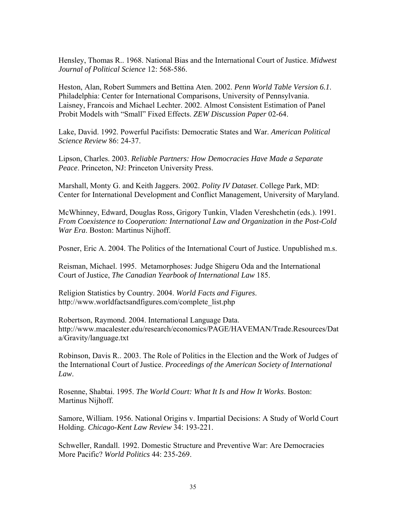Hensley, Thomas R.. 1968. National Bias and the International Court of Justice. *Midwest Journal of Political Science* 12: 568-586.

Heston, Alan, Robert Summers and Bettina Aten. 2002. Penn World Table Version 6.1. Laisney, Francois and Michael Lechter. 2002. Almost Consistent Estimation of Panel Probit Models with "Small" Fixed Effects. *ZEW Discussion Paper* 02-64. Philadelphia: Center for International Comparisons, University of Pennsylvania.

Lake, David. 1992. Powerful Pacifists: Democratic States and War. *American Political Science Review* 86: 24-37.

Lipson, Charles. 2003. *Reliable Partners: How Democracies Have Made a Separate Peace*. Princeton, NJ: Princeton University Press.

Marshall, Monty G. and Keith Jaggers. 2002. Polity IV Dataset. College Park, MD: Center for International Development and Conflict Management, University of Maryland.

McWhinney, Edward, Douglas Ross, Grigory Tunkin, Vladen Vereshchetin (eds.). 1991. *rom Coexistence to Cooperation: International Law and Organization in the Post-Cold F War Era*. Boston: Martinus Nijhoff.

Posner, Eric A. 2004. The Politics of the International Court of Justice. Unpublished m.s.

Reisman, Michael. 1995. Metamorphoses: Judge Shigeru Oda and the International Court of Justice, *The Canadian Yearbook of International Law* 185.

*Figures*. Religion Statistics by Country. 2004. *World Facts and* http://www.worldfactsandfigures.com/complete\_list.php

Robertson, Raymond. 2004. International Language Data. ttp://www.macalester.edu/research/economics/PAGE/HAVEMAN/Trade.Resources/Dat h a/Gravity/language.txt

Robinson, Davis R.. 2003. The Role of Politics in the Election and the Work of Judges of the International Court of Justice. Proceedings of the American Society of International *Law*.

Rosenne, Shabtai. 1995. The World Court: What It Is and How It Works. Boston: Martinus Nijhoff.

Samore, William. 1956. National Origins v. Impartial Decisions: A Study of World Court Holding. *Chicago-Kent Law Review* 34: 193-221.

9. More Pacific? *World Politics* 44: 235-26 Schweller, Randall. 1992. Domestic Structure and Preventive War: Are Democracies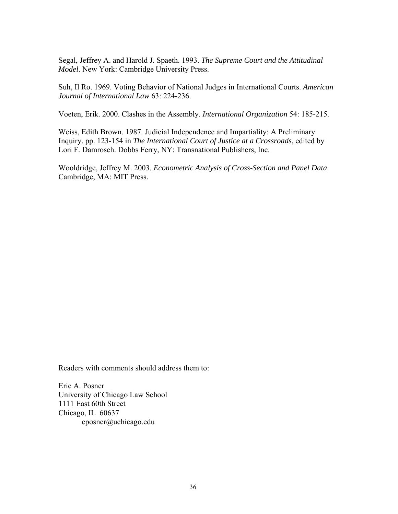Segal, Jeffrey A. and Harold J. Spaeth. 1993. *The Supreme Court and the Attitudinal Model*. New York: Cambridge University Press.

Suh, Il Ro. 1969. Voting Behavior of National Judges in International Courts. *American Journal of International Law* 63: 224-236.

Voeten, Erik. 2000. Clashes in the Assembly. *International Organization* 54: 185-215.

*International Court of Justice at a Crossroads*, edited by Inquiry. pp. 123-154 in *The* Lori F. Damrosch. Dobbs Ferry, NY: Transnational Publishers, Inc. Weiss, Edith Brown. 1987. Judicial Independence and Impartiality: A Preliminary

Wooldridge, Jeffrey M. 2003. *Econometric Analysis of Cross-Section and Panel Data*. Cambridge, MA: MIT Press.

Readers with comments should address them to:

1111 East 60th Street Eric A. Posner University of Chicago Law School Chicago, IL 60637 eposner@uchicago.edu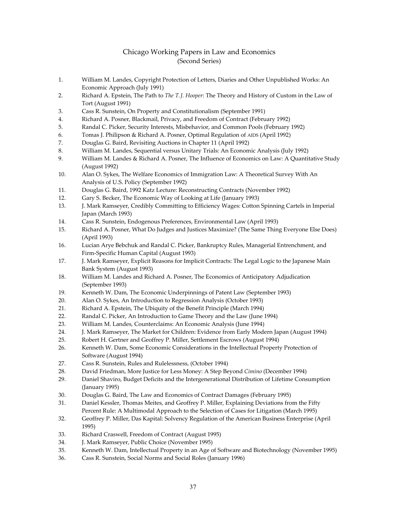### Chicago Working Papers in Law and Economics (Second Series)

- William M. Landes, Copyright Protection of Letters, Diaries and Other Unpublished Works: An 1. Economic Approach (July 1991)
- 2. Richard A. Epstein, The Path to *The T. J. Hooper*: The Theory and History of Custom in the Law of Tort (August 1991)
- 3. Cass R. Sunstein, On Property and Constitutionalism (September 1991)
- 4. Richard A. Posner, Blackmail, Privacy, and Freedom of Contract (February 1992)
- 5. Randal C. Picker, Security Interests, Misbehavior, and Common Pools (February 1992)
- 6. Tomas J. Philipson & Richard A. Posner, Optimal Regulation of AIDS (April 1992)
- 7. Douglas G. Baird, Revisiting Auctions in Chapter 11 (April 1992)
- 8. William M. Landes, Sequential versus Unitary Trials: An Economic Analysis (July 1992)
- William M. Landes & Richard A. Posner, The Influence of Economics on Law: A Quantitative Study 9. (August 1992)
- 10. Alan O. Sykes, The Welfare Economics of Immigration Law: A Theoretical Survey With An Analysis of U.S. Policy (September 1992)
- . Douglas G. Baird, 1992 Katz Lecture: Reconstructing Contracts (November 1992) 1 1
- 2. Gary S. Becker, The Economic Way of Looking at Life (January 1993)  $12<sub>1</sub>$
- 3. J. Mark Ramseyer, Credibly Committing to Efficiency Wages: Cotton Spinning Cartels in Imperial Japan (March 1993) 13.
- 4. Cass R. Sunstein, Endogenous Preferences, Environmental Law (April 1993)  $14.$
- 5. Richard A. Posner, What Do Judges and Justices Maximize? (The Same Thing Everyone Else Does) (April 1993) 15.
- Lucian Arye Bebchuk and Randal C. Picker, Bankruptcy Rules, Managerial Entrenchment, and Firm-Specific Human Capital (August 1993) 16.
- 7. J. Mark Ramseyer, Explicit Reasons for Implicit Contracts: The Legal Logic to the Japanese Main Bank System (August 1993)  $17.$
- 8. William M. Landes and Richard A. Posner, The Economics of Anticipatory Adjudication (September 1993) 18.
- 9. Kenneth W. Dam, The Economic Underpinnings of Patent Law (September 1993) 19.
- 0. Alan O. Sykes, An Introduction to Regression Analysis (October 1993)  $20.$
- 1. Richard A. Epstein, The Ubiquity of the Benefit Principle (March 1994) 21.
- 2. Randal C. Picker, An Introduction to Game Theory and the Law (June 1994)  $22.$
- 3. William M. Landes, Counterclaims: An Economic Analysis (June 1994) 23.
- 4. J. Mark Ramseyer, The Market for Children: Evidence from Early Modern Japan (August 1994) 24.
- 5. Robert H. Gertner and Geoffrey P. Miller, Settlement Escrows (August 1994)  $25.$
- 6. Kenneth W. Dam, Some Economic Considerations in the Intellectual Property Protection of Software (August 1994)  $26.$
- 27. Cass R. Sunstein, Rules and Rulelessness, (October 1994)
- 28. David Friedman, More Justice for Less Money: A Step Beyond *Cimino* (December 1994)
- . Daniel Shaviro, Budget Deficits and the Intergenerational Distribution of Lifetime Consumption (January 1995) 29
- 30. Douglas G. Baird, The Law and Economics of Contract Damages (February 1995)
- 31. Daniel Kessler, Thomas Meites, and Geoffrey P. Miller, Explaining Deviations from the Fifty Percent Rule: A Multimodal Approach to the Selection of Cases for Litigation (March 1995)
- 32. Geoffrey P. Miller, Das Kapital: Solvency Regulation of the American Business Enterprise (April 1995)
- 33. Richard Craswell, Freedom of Contract (August 1995)
- 4. J. Mark Ramseyer, Public Choice (November 1995) 34.
- 5. Kenneth W. Dam, Intellectual Property in an Age of Software and Biotechnology (November 1995) 35.
- 36. Cass R. Sunstein, Social Norms and Social Roles (January 1996)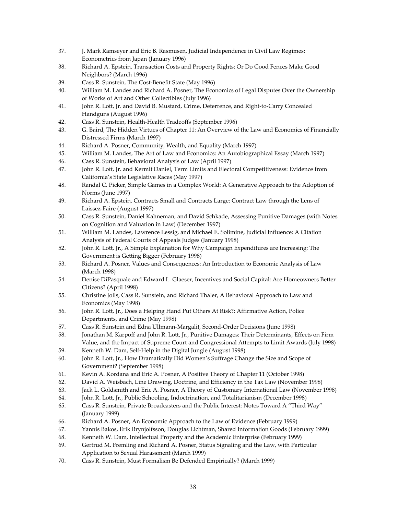- 37. J. Mark Ramseyer and Eric B. Rasmusen, Judicial Independence in Civil Law Regimes: Econometrics from Japan (January 1 996)
- 38. Richard A. Epstein, Transaction Costs and Property Rights: Or Do Good Fences Make Good Neighbors? (March 1996)
- 39. Cass R. Sunstein, The Cost-Benefit State (May 1996)
- 40. William M. Landes and Richard A. Posner, The Economics of Legal Disputes Over the Ownership of Works of Art and Other Collectibles (July 1996)
- 41. John R. Lott, Jr. and David B. Mustard, Crime, Deterrence, and Right-to-Carry Concealed Handguns (August 1996)
- 42. Cass R. Sunstein, Health-Health Tradeoffs (September 1996)
- 43. G. Baird, The Hidden Virtues of Chapter 11: An Overview of the Law and Economics of Financially Distressed Firms (March 1997)
- 44. Richard A. Posner, Community, Wealth, and Equality (March 1997)
- 45. William M. Landes, The Art of Law and Economics: An Autobiographical Essay (March 1997)
- 46. Cass R. Sunstein, Behavioral Analysis of Law (April 1997)
- 47. John R. Lott, Jr. and Kermit Daniel, Term Limits and Electoral Competitiveness: Evidence from California's State Legislative Races (May 1997)
- 48. Randal C. Picker, Simple Games in a Complex World: A Generative Approach to the Adoption of Norms (June 1997)
- 49. Richard A. Epstein, Contracts Small and Contracts Large: Contract Law through the Lens of Laissez-Faire (August 1997)
- 50. Cass R. Sunstein, Daniel Kahneman, and David Schkade, Assessing Punitive Damages (with Notes on Cognition and Valuation in Law) (December 1997)
- 51. William M. Landes, Lawrence Lessig, and Michael E. Solimine, Judicial Influence: A Citation Analysis of Federal Courts of Appeals Judges (January 1998)
- 52. John R. Lott, Jr., A Simple Explanation for Why Campaign Expenditures are Increasing: The Government is Getting Bigger (February 1998)
- 53. Richard A. Posner, Values and Consequences: An Introduction to Economic Analysis of Law (March 1998)
- 54. Denise DiPasquale and Edward L. Glaeser, Incentives and Social Capital: Are Homeowners Better Citizens? (April 1998)
- 55. Christine Jolls, Cass R. Sunstein, and Richard Thaler, A Behavioral Approach to Law and Economics (May 1998)
- 56. John R. Lott, Jr., Does a Helping Hand Put Others At Risk?: Affirmative Action, Police Departments, and Crime (May 1998)
- 57. Cass R. Sunstein and Edna Ullmann-Margalit, Second-Order Decisions (June 1998)
- 1998) Value, and the Impact of Supreme Court and Congressional Attempts to Limit Awards (July 58. Jonathan M. Karpoff and John R. Lott, Jr., Punitive Damages: Their Determinants, Effects on Firm
- 59. Kenneth W. Dam, Self-Help in the Digital Jungle (August 1998)
- 60. John R. Lott, Jr., How Dramatically Did Women's Suffrage Change the Size and Scope of Government? (September 1998)
- 61. Kevin A. Kordana and Eric A. Posner, A Positive Theory of Chapter 11 (October 1998)
- 62. David A. Weisbach, Line Drawing, Doctrine, and Efficiency in the Tax Law (November 1998)
- 63. Jack L. Goldsmith and Eric A. Posner, A Theory of Customary International Law (November 1998)
- 64. John R. Lott, Jr., Public Schooling, Indoctrination, and Totalitarianism (December 1998)
- 65. Cass R. Sunstein, Private Broadcasters and the Public Interest: Notes Toward A "Third Way" (January 1999)
- 66. Richard A. Posner, An Economic Approach to the Law of Evidence (February 1999)
- 67. Yannis Bakos, Erik Brynjolfsson, Douglas Lichtman, Shared Information Goods (February 1999)
- 68. Kenneth W. Dam, Intellectual Property and the Academic Enterprise (February 1999)
- 69. Gertrud M. Fremling and Richard A. Posner, Status Signaling and the Law, with Particular Application to Sexual Harassment (March 1999)
- 70. Cass R. Sunstein, Must Formalism Be Defended Empirically? (March 1999)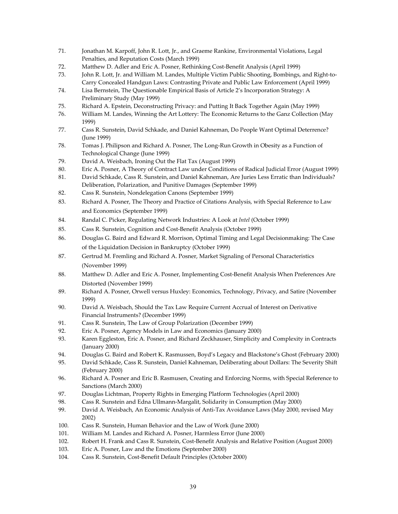- 71. Jonathan M. Karpoff, John R. Lott, Jr., and Graeme Rankine, Environmental Violations, Legal Penalties, and Reputation Costs (March 1 999)
- 72. Matthew D. Adler and Eric A. Posner, Rethinking Cost-Benefit Analysis (April 1999)
- 73. John R. Lott, Jr. and William M. Landes, Multiple Victim Public Shooting, Bombings, and Right-to-Carry Concealed Handgun Laws: Contrasting Private and Public Law Enforcement (April 1999)
- 74. Lisa Bernstein, The Questionable Empirical Basis of Article 2's Incorporation Strategy: A Preliminary Study (May 1999)
- 9) 75. Richard A. Epstein, Deconstructing Privacy: and Putting It Back Together Again (May 199
- 76. William M. Landes, Winning the Art Lottery: The Economic Returns to the Ganz Collection (May 1999)
- 77. Cass R. Sunstein, David Schkade, and Daniel Kahneman, Do People Want Optimal Deterrence? (June 1999)
- 78. Tomas J. Philipson and Richard A. Posner, The Long-Run Growth in Obesity as a Function of Technological Change (June 1999)
- 79. David A. Weisbach, Ironing Out the Flat Tax (August 1999)
- 99) 80. Eric A. Posner, A Theory of Contract Law under Conditions of Radical Judicial Error (August 19
- 81. David Schkade, Cass R. Sunstein, and Daniel Kahneman, Are Juries Less Erratic than Individuals? Deliberation, Polarization, and Punitive Damages (September 1999)
- 82. Cass R. Sunstein, Nondelegation Canons (September 1999)
- 83. Richard A. Posner, The Theory and Practice of Citations Analysis, with Special Reference to Law and Economics (September 1999)
- 84. Randal C. Picker, Regulating Network Industries: A Look at *Intel* (October 1999)
- 85. Cass R. Sunstein, Cognition and Cost-Benefit Analysis (October 1999)
- 86. Douglas G. Baird and Edward R. Morrison, Optimal Timing and Legal Decisionmaking: The Case of the Liquidation Decision in Bankruptcy (October 1999)
- 87. Gertrud M. Fremling and Richard A. Posner, Market Signaling of Personal Characteristics (November 1999)
- 88. Matthew D. Adler and Eric A. Posner, Implementing Cost-Benefit Analysis When Preferences Are Distorted (November 1999)
- 89. Richard A. Posner, Orwell versus Huxley: Economics, Technology, Privacy, and Satire (November 1999)
- 90. David A. Weisbach, Should the Tax Law Require Current Accrual of Interest on Derivative Financial Instruments? (December 1999)
- 91. Cass R. Sunstein, The Law of Group Polarization (December 1999)
- 92. Eric A. Posner, Agency Models in Law and Economics (January 2000)
- 93. Karen Eggleston, Eric A. Posner, and Richard Zeckhauser, Simplicity and Complexity in Contracts (January 2000)
- 94. Douglas G. Baird and Robert K. Rasmussen, Boyd's Legacy and Blackstone's Ghost (February 2000)
- 95. David Schkade, Cass R. Sunstein, Daniel Kahneman, Deliberating about Dollars: The Severity Shift (February 2000)
- 96. Richard A. Posner and Eric B. Rasmusen, Creating and Enforcing Norms, with Special Reference to Sanctions (March 2000)
- 97. Douglas Lichtman, Property Rights in Emerging Platform Technologies (April 2000)
- 98. Cass R. Sunstein and Edna Ullmann-Margalit, Solidarity in Consumption (May 2000)
- 99. David A. Weisbach, An Economic Analysis of Anti-Tax Avoidance Laws (May 2000, revised May 2002)
- 100. Cass R. Sunstein, Human Behavior and the Law of Work (June 2000)
- 101. William M. Landes and Richard A. Posner, Harmless Error (June 2000)
- 000) 102. Robert H. Frank and Cass R. Sunstein, Cost-Benefit Analysis and Relative Position (August 2
- 103. Eric A. Posner, Law and the Emotions (September 2000)
- 104. Cass R. Sunstein, Cost-Benefit Default Principles (October 2000)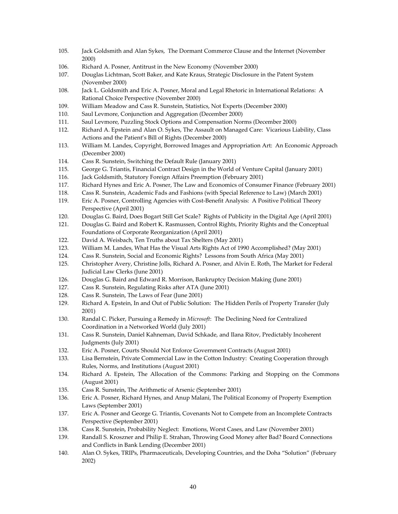- 105. Jack Goldsmith and Alan Sykes, The Dormant Commerce Clause and the Internet (November 2000)
- 106. Richard A. Posner, Antitrust in the New Economy (November 2000)
- 107. Douglas Lichtman, Scott Baker, and Kate Kraus, Strategic Disclosure in the Patent System (November 2000)
- 108. Jack L. Goldsmith and Eric A. Posner, Moral and Legal Rhetoric in International Relations: A Rational Choice Perspective (November 2000)
- 109. William Meadow and Cass R. Sunstein, Statistics, Not Experts (December 2000)
- 110. Saul Levmore, Conjunction and Aggregation (December 2000)
- 111. Saul Levmore, Puzzling Stock Options and Compensation Norms (December 2000)
- Actions and the Patient's Bill of Rights (December 2000) 112. Richard A. Epstein and Alan O. Sykes, The Assault on Managed Care: Vicarious Liability, Class
- 113. William M. Landes, Copyright, Borrowed Images and Appropriation Art: An Economic Approach (December 2000)
- 114. Cass R. Sunstein, Switching the Default Rule (January 2001)
- 115. George G. Triantis, Financial Contract Design in the World of Venture Capital (January 2001)
- 116. Jack Goldsmith, Statutory Foreign Affairs Preemption (February 2001)
- 117. Richard Hynes and Eric A. Posner, The Law and Economics of Consumer Finance (February 2001)
- 118. Cass R. Sunstein, Academic Fads and Fashions (with Special Reference to Law) (March 2001)
- 119. Eric A. Posner, Controlling Agencies with Cost-Benefit Analysis: A Positive Political Theory Perspective (April 2001)
- 120. Douglas G. Baird, Does Bogart Still Get Scale? Rights of Publicity in the Digital Age (April 2001)
- 121. Douglas G. Baird and Robert K. Rasmussen, Control Rights, Priority Rights and the Conceptual Foundations of Corporate Reorganization (April 2001)
- 122. David A. Weisbach, Ten Truths about Tax Shelters (May 2001)
- 123. William M. Landes, What Has the Visual Arts Rights Act of 1990 Accomplished? (May 2001)
- 124. Cass R. Sunstein, Social and Economic Rights? Lessons from South Africa (May 2001)
- 125. Christopher Avery, Christine Jolls, Richard A. Posner, and Alvin E. Roth, The Market for Federal  $\,$ Judicial Law Clerks (June 2001)
- 126. Douglas G. Baird and Edward R. Morrison, Bankruptcy Decision Making (June 2001)
- 127. Cass R. Sunstein, Regulating Risks after ATA (June 2001)
- 128. Cass R. Sunstein, The Laws of Fear (June 2001)
- 129. Richard A. Epstein, In and Out of Public Solution: The Hidden Perils of Property Transfer (July 2001)
- 130. Randal C. Picker, Pursuing a Remedy in *Microsoft*: The Declining Need for Centralized Coordination in a Networked World (July 2001)
- 131. Cass R. Sunstein, Daniel Kahneman, David Schkade, and Ilana Ritov, Predictably Incoherent Judgments (July 2001)
- 132. Eric A. Posner, Courts Should Not Enforce Government Contracts (August 2001)
- 133. Lisa Bernstein, Private Commercial Law in the Cotton Industry: Creating Cooperation through Rules, Norms, and Institutions (August 2001)
- 134. Richard A. Epstein, The Allocation of the Commons: Parking and Stopping on the Commons (August 2001)
- 135. Cass R. Sunstein, The Arithmetic of Arsenic (September 2001)
- 136. Eric A. Posner, Richard Hynes, and Anup Malani, The Political Economy of Property Exemption Laws (September 2001)
- 137. Eric A. Posner and George G. Triantis, Covenants Not to Compete from an Incomplete Contracts Perspective (September 2001)
- (November 2001) 138. Cass R. Sunstein, Probability Neglect: Emotions, Worst Cases, and Law
- 139. Randall S. Kroszner and Philip E. Strahan, Throwing Good Money after Bad? Board Connections and Conflicts in Bank Lending (December 2001)
- 140. Alan O. Sykes, TRIPs, Pharmaceuticals, Developing Countries, and the Doha "Solution" (February 2002)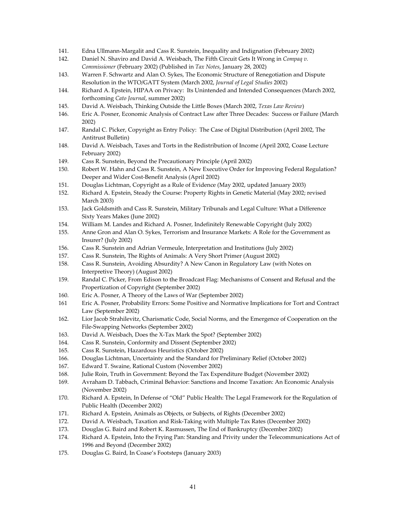- 141. Edna Ullmann-Margalit and Cass R. Sunstein, Inequality and Indignation (February 2002)
- 142. Daniel N. Shaviro and David A. Weisbach, The Fifth Circuit Gets It Wrong in *Compaq v.*  2) *Commissioner* (February 2002) (Published in *Tax Notes*, January 28, 200
- 143. Warren F. Schwartz and Alan O. Sykes, The Economic Structure of Renegotiation and Dispute Resolution in the WTO/GATT System (March 2002*, Journal of Legal Studies* 2002)
- 144. Richard A. Epstein, HIPAA on Privacy: Its Unintended and Intended Consequences (March 2002, forthcoming *Cato Journal*, summer 2002)
- *view*) 145. David A. Weisbach, Thinking Outside the Little Boxes (March 2002, *Texas Law Re*
- 146. Eric A. Posner, Economic Analysis of Contract Law after Three Decades: Success or Failure (March 2002)
- 147. Randal C. Picker, Copyright as Entry Policy: The Case of Digital Distribution (April 2002, The Antitrust Bulletin)
- 148. David A. Weisbach, Taxes and Torts in the Redistribution of Income (April 2002, Coase Lecture February 2002)
- 149. Cass R. Sunstein, Beyond the Precautionary Principle (April 2002)
- 150. Robert W. Hahn and Cass R. Sunstein, A New Executive Order for Improving Federal Regulation? Deeper and Wider Cost-Benefit Analysis (April 2002)
- 151. Douglas Lichtman, Copyright as a Rule of Evidence (May 2002, updated January 2003)
- 152. Richard A. Epstein, Steady the Course: Property Rights in Genetic Material (May 2002; revised March 2003)
- 153. Jack Goldsmith and Cass R. Sunstein, Military Tribunals and Legal Culture: What a Difference Sixty Years Makes (June 2002)
- 154. William M. Landes and Richard A. Posner, Indefinitely Renewable Copyright (July 2002)
- 155. Anne Gron and Alan O. Sykes, Terrorism and Insurance Markets: A Role for the Government as Insurer? (July 2002)
- 156. Cass R. Sunstein and Adrian Vermeule, Interpretation and Institutions (July 2002)
- 157. Cass R. Sunstein, The Rights of Animals: A Very Short Primer (August 2002)
- 2) Interpretive Theory) (August 200 158. Cass R. Sunstein, Avoiding Absurdity? A New Canon in Regulatory Law (with Notes on
- 159. Randal C. Picker, From Edison to the Broadcast Flag: Mechanisms of Consent and Refusal and the Propertization of Copyright (September 2002)
- 160. Eric A. Posner, A Theory of the Laws of War (September 2002)
- 161 Eric A. Posner, Probability Errors: Some Positive and Normative Implications for Tort and Contract Law (September 2002)
- 162. Lior Jacob Strahilevitz, Charismatic Code, Social Norms, and the Emergence of Cooperation on the File-Swapping Networks (September 2002)
- 163. David A. Weisbach, Does the X-Tax Mark the Spot? (September 2002)
- 164. Cass R. Sunstein, Conformity and Dissent (September 2002)
- 165. Cass R. Sunstein, Hazardous Heuristics (October 2002)
- 166. Douglas Lichtman, Uncertainty and the Standard for Preliminary Relief (October 2002)
- 167. Edward T. Swaine, Rational Custom (November 2002)
- 168. Julie Roin, Truth in Government: Beyond the Tax Expenditure Budget (November 2002)
- 169. bbach, Criminal Behavior: Sanctions and Income Taxation: An Economic Analysis Avraham D. Ta (November 2002)
- 170. Richard A. Epstein, In Defense of "Old" Public Health: The Legal Framework for the Regulation of Public Health (December 2002)
- 171. Richard A. Epstein, Animals as Objects, or Subjects, of Rights (December 2002)
- 172. David A. Weisbach, Taxation and Risk-Taking with Multiple Tax Rates (December 2002)
- 173. Douglas G. Baird and Robert K. Rasmussen, The End of Bankruptcy (December 2002)
- 174. Richard A. Epstein, Into the Frying Pan: Standing and Privity under the Telecommunications Act of 1996 and Beyond (December 2002)
- 175. Douglas G. Baird, In Coase's Footsteps (January 2003)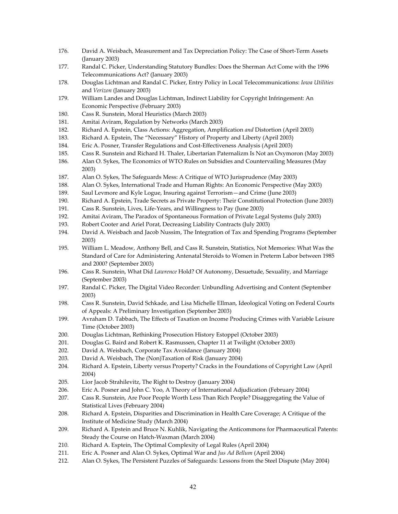- 176. David A. Weisbach, Measurement and Tax Depreciation Policy: The Case of Short-Term Assets (January 2003)
- 177. Randal C. Picker, Understanding Statutory Bundles: Does the Sherman Act Come with the 1996 Telecommunications Act? (January 2003)
- 178. Douglas Lichtman and Randal C. Picker, Entry Policy in Local Telecommunications: *Iowa Utilities* and *Verizon* (January 2003)
- 179. William Landes and Douglas Lichtman, Indirect Liability for Copyright Infringement: An Economic Perspective (February 2003)
- 180. Cass R. Sunstein, Moral Heuristics (March 2003)
- 181. Amitai Aviram, Regulation by Networks (March 2003)
- 182. Richard A. Epstein, Class Actions: Aggregation, Amplification *and* Distortion (April 2003)
- 183. The "Necessary" History of Property and Liberty (April 2003) Richard A. Epstein,
- 184. Eric A. Posner, Transfer Regulations and Cost-Effectiveness Analysis (April 2003)
- 185. and Richard H. Thaler, Libertarian Paternalizm Is Not an Oxymoron (May 2003) Cass R. Sunstein
- 186. Alan O. Sykes, The Economics of WTO Rules on Subsidies and Countervailing Measures (May 2003)
- 187. Alan O. Sykes, The Safeguards Mess: A Critique of WTO Jurisprudence (May 2003)
- 188. Alan O. Sykes, International Trade and Human Rights: An Economic Perspective (May 2003)
- 189. Saul Levmore and Kyle Logue, Insuring against Terrorism—and Crime (June 2003)
- 190. Richard A. Epstein, Trade Secrets as Private Property: Their Constitutional Protection (June 2003)
- 191. Cass R. Sunstein, Lives, Life-Years, and Willingness to Pay (June 2003)
- 192. Amitai Aviram, The Paradox of Spontaneous Formation of Private Legal Systems (July 2003)
- 193. Robert Cooter and Ariel Porat, Decreasing Liability Contracts (July 2003)
- 194. David A. Weisbach and Jacob Nussim, The Integration of Tax and Spending Programs (September 2003)
- 195. William L. Meadow, Anthony Bell, and Cass R. Sunstein, Statistics, Not Memories: What Was the Standard of Care for Administering Antenatal Steroids to Women in Preterm Labor between 1985 and 2000? (September 2003)
- 196. Cass R. Sunstein, What Did *Lawrence* Hold? Of Autonomy, Desuetude, Sexuality, and Marriage (September 2003)
- 197. Randal C. Picker, The Digital Video Recorder: Unbundling Advertising and Content (September 2003)
- of Appeals: A Preliminary Investigation (September 2003) 198. Cass R. Sunstein, David Schkade, and Lisa Michelle Ellman, Ideological Voting on Federal Courts
- 199. Avraham D. Tabbach, The Effects of Taxation on Income Producing Crimes with Variable Leisure Time (October 2003)
- 200. Douglas Lichtman, Rethinking Prosecution History Estoppel (October 2003)
- 201. Douglas G. Baird and Robert K. Rasmussen, Chapter 11 at Twilight (October 2003)
- 202. David A. Weisbach, Corporate Tax Avoidance (January 2004)
- 203. David A. Weisbach, The (Non)Taxation of Risk (January 2004)
- 204. Richard A. Epstein, Liberty versus Property? Cracks in the Foundations of Copyright Law (April 2004)
- 205. Lior Jacob Strahilevitz, The Right to Destroy (January 2004)
- 206. Eric A. Posner and John C. Yoo, A Theory of International Adjudication (February 2004)
- 207. Cass R. Sunstein, Are Poor People Worth Less Than Rich People? Disaggregating the Value of Statistical Lives (February 2004)
- 208. Richard A. Epstein, Disparities and Discrimination in Health Care Coverage; A Critique of the Institute of Medicine Study (March 2004)
- 209. Richard A. Epstein and Bruce N. Kuhlik, Navigating the Anticommons for Pharmaceutical Patents: Steady the Course on Hatch-Waxman (March 2004)
- 210. Richard A. Esptein, The Optimal Complexity of Legal Rules (April 2004)
- *Ad Bellum* (April 2004) 211. Eric A. Posner and Alan O. Sykes, Optimal War and *Jus*
- 212. Alan O. Sykes, The Persistent Puzzles of Safeguards: Lessons from the Steel Dispute (May 2004)